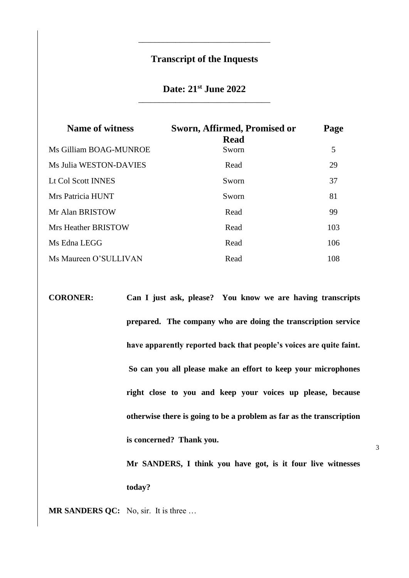# **Transcript of the Inquests**

\_\_\_\_\_\_\_\_\_\_\_\_\_\_\_\_\_\_\_\_\_\_\_\_\_\_\_\_\_\_\_\_

# **Date: 21st June 2022** \_\_\_\_\_\_\_\_\_\_\_\_\_\_\_\_\_\_\_\_\_\_\_\_\_\_\_\_\_\_\_\_

| <b>Name of witness</b> | Sworn, Affirmed, Promised or<br><b>Read</b> | Page |
|------------------------|---------------------------------------------|------|
| Ms Gilliam BOAG-MUNROE | Sworn                                       | 5    |
| Ms Julia WESTON-DAVIES | Read                                        | 29   |
| Lt Col Scott INNES     | Sworn                                       | 37   |
| Mrs Patricia HUNT      | Sworn                                       | 81   |
| Mr Alan BRISTOW        | Read                                        | 99   |
| Mrs Heather BRISTOW    | Read                                        | 103  |
| Ms Edna LEGG           | Read                                        | 106  |
| Ms Maureen O'SULLIVAN  | Read                                        | 108  |

**CORONER: Can I just ask, please? You know we are having transcripts prepared. The company who are doing the transcription service have apparently reported back that people's voices are quite faint. So can you all please make an effort to keep your microphones right close to you and keep your voices up please, because otherwise there is going to be a problem as far as the transcription is concerned? Thank you.** 

> **Mr SANDERS, I think you have got, is it four live witnesses today?**

3

**MR SANDERS QC:** No, sir. It is three …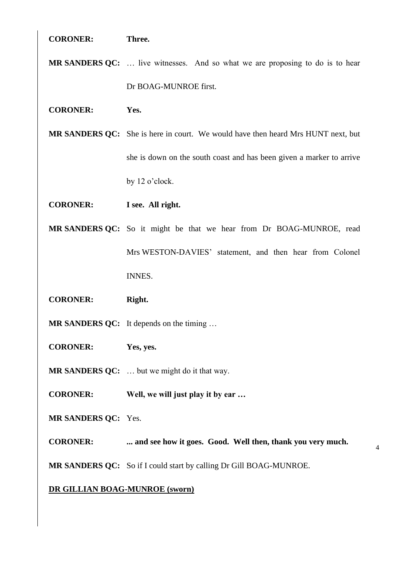# **CORONER: Three.**

- **MR SANDERS QC:** … live witnesses. And so what we are proposing to do is to hear Dr BOAG-MUNROE first.
- **CORONER: Yes.**

**MR SANDERS QC:** She is here in court. We would have then heard Mrs HUNT next, but she is down on the south coast and has been given a marker to arrive by 12 o'clock.

**CORONER: I see. All right.** 

**MR SANDERS QC:** So it might be that we hear from Dr BOAG-MUNROE, read Mrs WESTON-DAVIES' statement, and then hear from Colonel INNES.

- **CORONER: Right.**
- **MR SANDERS QC:** It depends on the timing …
- **CORONER: Yes, yes.**
- **MR SANDERS QC:** … but we might do it that way.
- **CORONER: Well, we will just play it by ear …**
- **MR SANDERS QC:** Yes.

**CORONER: ... and see how it goes. Good. Well then, thank you very much.** 

4

**MR SANDERS QC:** So if I could start by calling Dr Gill BOAG-MUNROE.

# **DR GILLIAN BOAG-MUNROE (sworn)**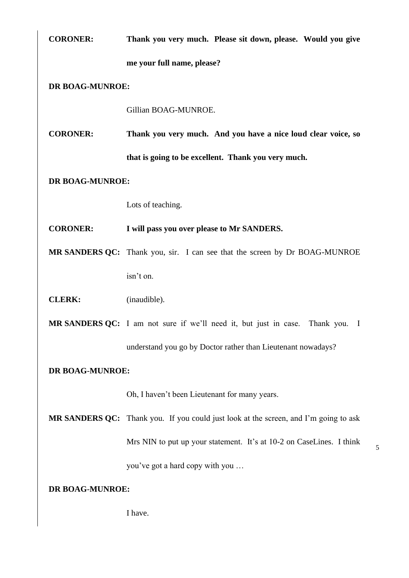| <b>CORONER:</b> | Thank you very much. Please sit down, please. Would you give                              |  |
|-----------------|-------------------------------------------------------------------------------------------|--|
|                 | me your full name, please?                                                                |  |
| DR BOAG-MUNROE: |                                                                                           |  |
|                 | Gillian BOAG-MUNROE.                                                                      |  |
| <b>CORONER:</b> | Thank you very much. And you have a nice loud clear voice, so                             |  |
|                 | that is going to be excellent. Thank you very much.                                       |  |
| DR BOAG-MUNROE: |                                                                                           |  |
|                 | Lots of teaching.                                                                         |  |
| <b>CORONER:</b> | I will pass you over please to Mr SANDERS.                                                |  |
|                 | MR SANDERS QC: Thank you, sir. I can see that the screen by Dr BOAG-MUNROE                |  |
|                 | isn't on.                                                                                 |  |
| <b>CLERK:</b>   | (inaudible).                                                                              |  |
|                 | MR SANDERS QC: I am not sure if we'll need it, but just in case.<br>Thank you.<br>$\perp$ |  |
|                 | understand you go by Doctor rather than Lieutenant nowadays?                              |  |
| DR BOAG-MUNROE: |                                                                                           |  |
|                 | Oh, I haven't been Lieutenant for many years.                                             |  |
|                 | MR SANDERS QC: Thank you. If you could just look at the screen, and I'm going to ask      |  |
|                 | Mrs NIN to put up your statement. It's at 10-2 on CaseLines. I think                      |  |

you've got a hard copy with you …

5

# **DR BOAG**-**MUNROE:**

I have.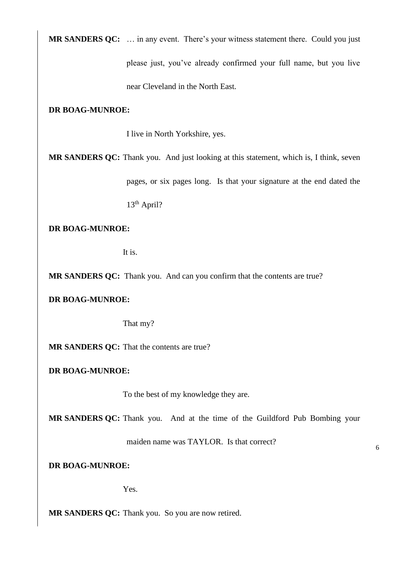**MR SANDERS QC:** … in any event. There's your witness statement there. Could you just

please just, you've already confirmed your full name, but you live

near Cleveland in the North East.

# **DR BOAG-MUNROE:**

I live in North Yorkshire, yes.

**MR SANDERS QC:** Thank you. And just looking at this statement, which is, I think, seven

pages, or six pages long. Is that your signature at the end dated the

13th April?

# **DR BOAG-MUNROE:**

It is.

**MR SANDERS QC:** Thank you. And can you confirm that the contents are true?

# **DR BOAG-MUNROE:**

That my?

**MR SANDERS QC:** That the contents are true?

# **DR BOAG-MUNROE:**

To the best of my knowledge they are.

**MR SANDERS QC:** Thank you. And at the time of the Guildford Pub Bombing your

maiden name was TAYLOR. Is that correct?

6

# **DR BOAG-MUNROE:**

Yes.

**MR SANDERS QC:** Thank you. So you are now retired.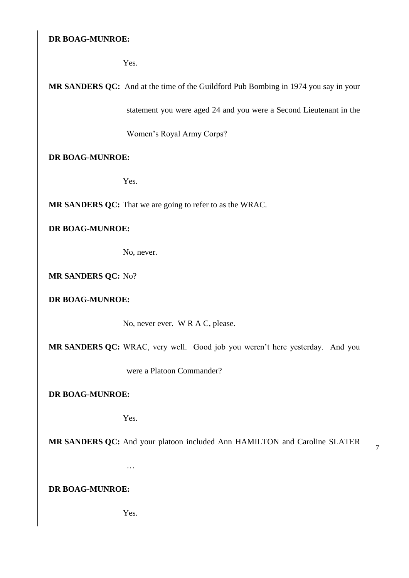Yes.

**MR SANDERS QC:** And at the time of the Guildford Pub Bombing in 1974 you say in your

statement you were aged 24 and you were a Second Lieutenant in the

Women's Royal Army Corps?

**DR BOAG-MUNROE:**

Yes.

**MR SANDERS QC:** That we are going to refer to as the WRAC.

# **DR BOAG-MUNROE:**

No, never.

**MR SANDERS QC:** No?

**DR BOAG-MUNROE:**

No, never ever. W R A C, please.

**MR SANDERS QC:** WRAC, very well. Good job you weren't here yesterday. And you

were a Platoon Commander?

**DR BOAG-MUNROE:**

Yes.

…

**MR SANDERS QC:** And your platoon included Ann HAMILTON and Caroline SLATER

7

**DR BOAG-MUNROE:**

Yes.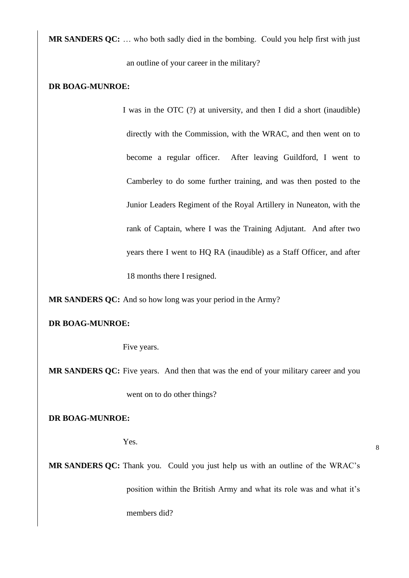**MR SANDERS QC:** … who both sadly died in the bombing. Could you help first with just an outline of your career in the military?

#### **DR BOAG-MUNROE:**

I was in the OTC (?) at university, and then I did a short (inaudible) directly with the Commission, with the WRAC, and then went on to become a regular officer. After leaving Guildford, I went to Camberley to do some further training, and was then posted to the Junior Leaders Regiment of the Royal Artillery in Nuneaton, with the rank of Captain, where I was the Training Adjutant. And after two years there I went to HQ RA (inaudible) as a Staff Officer, and after 18 months there I resigned.

**MR SANDERS QC:** And so how long was your period in the Army?

#### **DR BOAG-MUNROE:**

Five years.

**MR SANDERS QC:** Five years. And then that was the end of your military career and you

went on to do other things?

**DR BOAG-MUNROE:**

Yes.

**MR SANDERS QC:** Thank you. Could you just help us with an outline of the WRAC's position within the British Army and what its role was and what it's members did?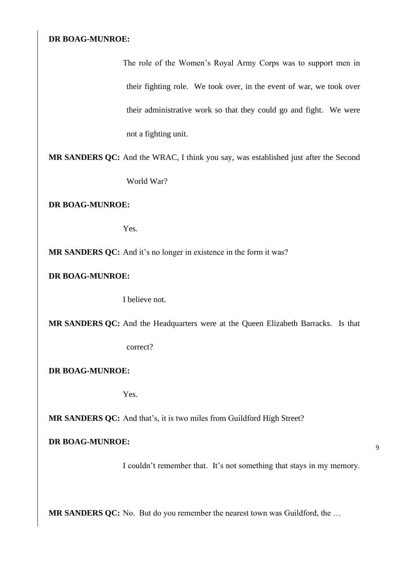The role of the Women's Royal Army Corps was to support men in their fighting role. We took over, in the event of war, we took over their administrative work so that they could go and fight. We were not a fighting unit.

**MR SANDERS QC:** And the WRAC, I think you say, was established just after the Second World War?

**DR BOAG-MUNROE:**

Yes.

**MR SANDERS QC:** And it's no longer in existence in the form it was?

**DR BOAG-MUNROE:**

I believe not.

**MR SANDERS QC:** And the Headquarters were at the Queen Elizabeth Barracks. Is that

correct?

**DR BOAG-MUNROE:**

Yes.

**MR SANDERS QC:** And that's, it is two miles from Guildford High Street?

# **DR BOAG-MUNROE:**

I couldn't remember that. It's not something that stays in my memory.

**MR SANDERS QC:** No. But do you remember the nearest town was Guildford, the …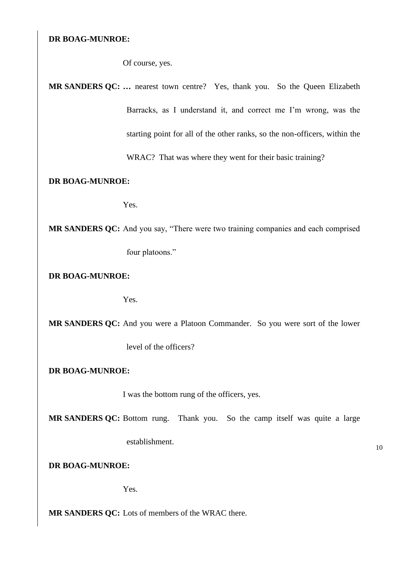Of course, yes.

**MR SANDERS QC: …** nearest town centre? Yes, thank you. So the Queen Elizabeth Barracks, as I understand it, and correct me I'm wrong, was the starting point for all of the other ranks, so the non-officers, within the

WRAC? That was where they went for their basic training?

# **DR BOAG-MUNROE:**

Yes.

**MR SANDERS QC:** And you say, "There were two training companies and each comprised four platoons."

**DR BOAG-MUNROE:**

Yes.

**MR SANDERS QC:** And you were a Platoon Commander. So you were sort of the lower

level of the officers?

**DR BOAG-MUNROE:**

I was the bottom rung of the officers, yes.

**MR SANDERS QC:** Bottom rung. Thank you. So the camp itself was quite a large

establishment.

**DR BOAG-MUNROE:**

Yes.

**MR SANDERS QC:** Lots of members of the WRAC there.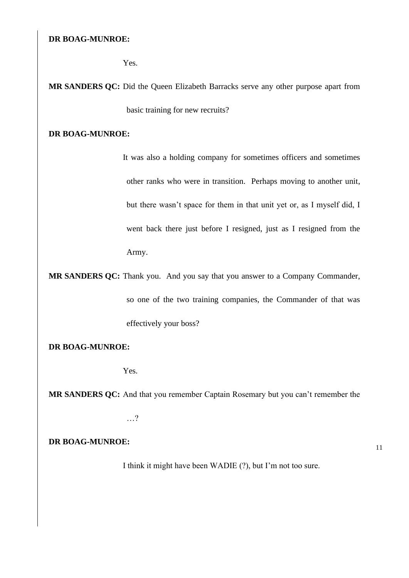Yes.

**MR SANDERS QC:** Did the Queen Elizabeth Barracks serve any other purpose apart from basic training for new recruits?

# **DR BOAG-MUNROE:**

It was also a holding company for sometimes officers and sometimes other ranks who were in transition. Perhaps moving to another unit, but there wasn't space for them in that unit yet or, as I myself did, I went back there just before I resigned, just as I resigned from the Army.

**MR SANDERS QC:** Thank you. And you say that you answer to a Company Commander, so one of the two training companies, the Commander of that was effectively your boss?

**DR BOAG-MUNROE:**

Yes.

**MR SANDERS QC:** And that you remember Captain Rosemary but you can't remember the

…?

**DR BOAG-MUNROE:**

I think it might have been WADIE (?), but I'm not too sure.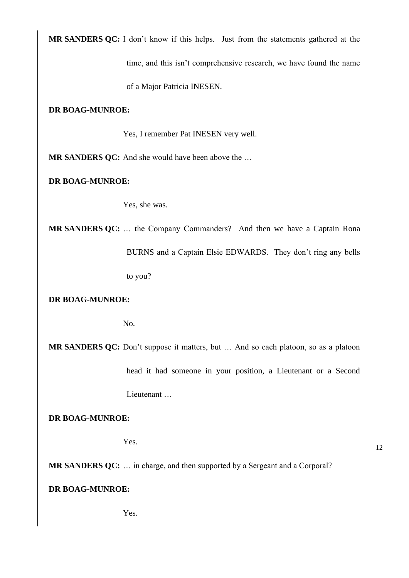**MR SANDERS QC:** I don't know if this helps. Just from the statements gathered at the time, and this isn't comprehensive research, we have found the name

of a Major Patricia INESEN.

# **DR BOAG-MUNROE:**

Yes, I remember Pat INESEN very well.

**MR SANDERS QC:** And she would have been above the …

**DR BOAG-MUNROE:**

Yes, she was.

**MR SANDERS QC:** … the Company Commanders? And then we have a Captain Rona BURNS and a Captain Elsie EDWARDS. They don't ring any bells to you?

**DR BOAG-MUNROE:**

No.

**MR SANDERS QC:** Don't suppose it matters, but … And so each platoon, so as a platoon

head it had someone in your position, a Lieutenant or a Second Lieutenant …

**DR BOAG-MUNROE:**

Yes.

12

**MR SANDERS QC:** … in charge, and then supported by a Sergeant and a Corporal?

# **DR BOAG-MUNROE:**

Yes.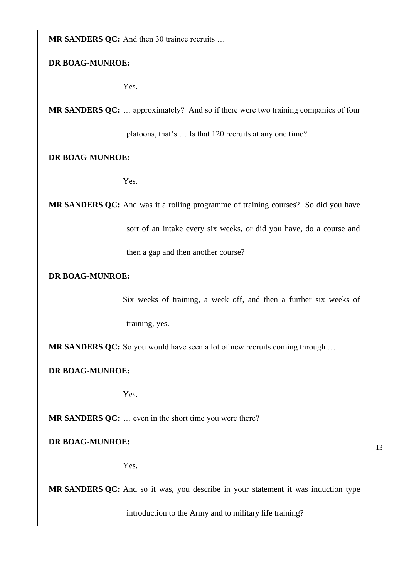**MR SANDERS QC:** And then 30 trainee recruits ...

# **DR BOAG-MUNROE:**

Yes.

**MR SANDERS QC:** … approximately? And so if there were two training companies of four

platoons, that's … Is that 120 recruits at any one time?

# **DR BOAG-MUNROE:**

Yes.

**MR SANDERS QC:** And was it a rolling programme of training courses? So did you have

sort of an intake every six weeks, or did you have, do a course and

then a gap and then another course?

# **DR BOAG-MUNROE:**

Six weeks of training, a week off, and then a further six weeks of training, yes.

**MR SANDERS QC:** So you would have seen a lot of new recruits coming through …

# **DR BOAG-MUNROE:**

Yes.

**MR SANDERS QC:** … even in the short time you were there?

**DR BOAG-MUNROE:**

Yes.

**MR SANDERS QC:** And so it was, you describe in your statement it was induction type

introduction to the Army and to military life training?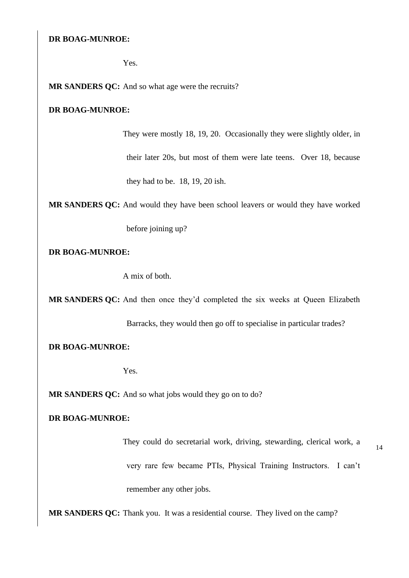Yes.

**MR SANDERS QC:** And so what age were the recruits?

# **DR BOAG-MUNROE:**

They were mostly 18, 19, 20. Occasionally they were slightly older, in their later 20s, but most of them were late teens. Over 18, because they had to be. 18, 19, 20 ish.

**MR SANDERS QC:** And would they have been school leavers or would they have worked

before joining up?

**DR BOAG-MUNROE:**

A mix of both.

**MR SANDERS QC:** And then once they'd completed the six weeks at Queen Elizabeth

Barracks, they would then go off to specialise in particular trades?

#### **DR BOAG-MUNROE:**

Yes.

**MR SANDERS QC:** And so what jobs would they go on to do?

# **DR BOAG-MUNROE:**

They could do secretarial work, driving, stewarding, clerical work, a very rare few became PTIs, Physical Training Instructors. I can't remember any other jobs.

**MR SANDERS QC:** Thank you. It was a residential course. They lived on the camp?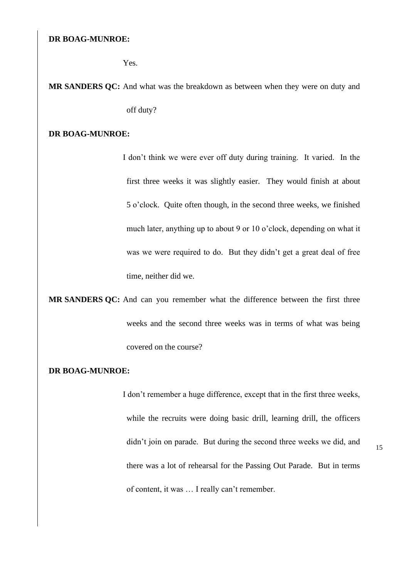Yes.

**MR SANDERS QC:** And what was the breakdown as between when they were on duty and off duty?

#### **DR BOAG-MUNROE:**

I don't think we were ever off duty during training. It varied. In the first three weeks it was slightly easier. They would finish at about 5 o'clock. Quite often though, in the second three weeks, we finished much later, anything up to about 9 or 10 o'clock, depending on what it was we were required to do. But they didn't get a great deal of free time, neither did we.

**MR SANDERS QC:** And can you remember what the difference between the first three weeks and the second three weeks was in terms of what was being covered on the course?

#### **DR BOAG-MUNROE:**

I don't remember a huge difference, except that in the first three weeks, while the recruits were doing basic drill, learning drill, the officers didn't join on parade. But during the second three weeks we did, and there was a lot of rehearsal for the Passing Out Parade. But in terms of content, it was … I really can't remember.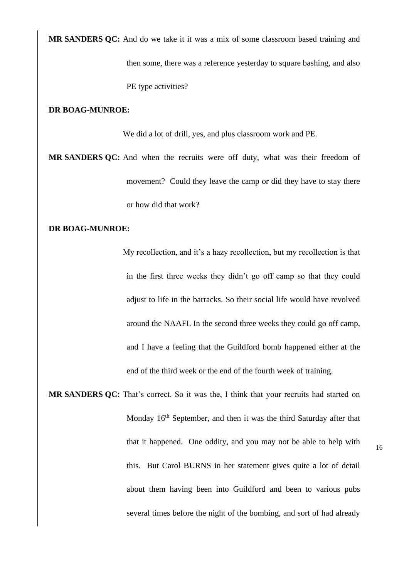**MR SANDERS QC:** And do we take it it was a mix of some classroom based training and

then some, there was a reference yesterday to square bashing, and also PE type activities?

## **DR BOAG-MUNROE:**

We did a lot of drill, yes, and plus classroom work and PE.

**MR SANDERS QC:** And when the recruits were off duty, what was their freedom of movement? Could they leave the camp or did they have to stay there or how did that work?

# **DR BOAG-MUNROE:**

My recollection, and it's a hazy recollection, but my recollection is that in the first three weeks they didn't go off camp so that they could adjust to life in the barracks. So their social life would have revolved around the NAAFI. In the second three weeks they could go off camp, and I have a feeling that the Guildford bomb happened either at the end of the third week or the end of the fourth week of training.

**MR SANDERS QC:** That's correct. So it was the, I think that your recruits had started on Monday 16<sup>th</sup> September, and then it was the third Saturday after that that it happened. One oddity, and you may not be able to help with this. But Carol BURNS in her statement gives quite a lot of detail about them having been into Guildford and been to various pubs several times before the night of the bombing, and sort of had already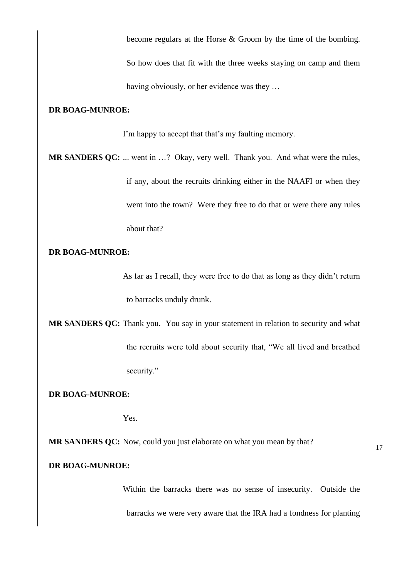become regulars at the Horse & Groom by the time of the bombing.

So how does that fit with the three weeks staying on camp and them having obviously, or her evidence was they …

## **DR BOAG-MUNROE:**

I'm happy to accept that that's my faulting memory.

**MR SANDERS QC:** ... went in …? Okay, very well. Thank you. And what were the rules, if any, about the recruits drinking either in the NAAFI or when they went into the town? Were they free to do that or were there any rules about that?

# **DR BOAG-MUNROE:**

As far as I recall, they were free to do that as long as they didn't return to barracks unduly drunk.

**MR SANDERS QC:** Thank you. You say in your statement in relation to security and what the recruits were told about security that, "We all lived and breathed security."

**DR BOAG-MUNROE:**

Yes.

**MR SANDERS QC:** Now, could you just elaborate on what you mean by that?

17

# **DR BOAG-MUNROE:**

Within the barracks there was no sense of insecurity. Outside the barracks we were very aware that the IRA had a fondness for planting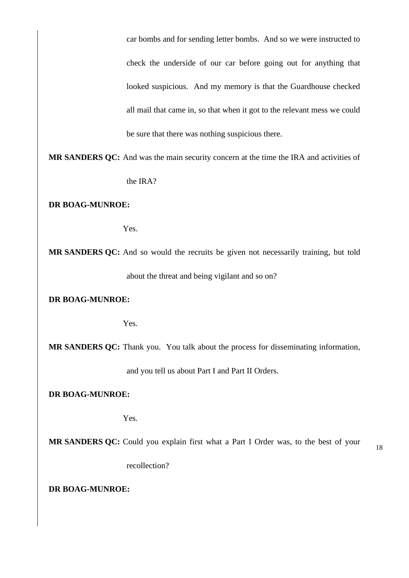car bombs and for sending letter bombs. And so we were instructed to check the underside of our car before going out for anything that looked suspicious. And my memory is that the Guardhouse checked all mail that came in, so that when it got to the relevant mess we could be sure that there was nothing suspicious there.

**MR SANDERS QC:** And was the main security concern at the time the IRA and activities of the IRA?

**DR BOAG-MUNROE:**

Yes.

**MR SANDERS QC:** And so would the recruits be given not necessarily training, but told about the threat and being vigilant and so on?

**DR BOAG-MUNROE:**

Yes.

**MR SANDERS QC:** Thank you. You talk about the process for disseminating information,

and you tell us about Part I and Part II Orders.

**DR BOAG-MUNROE:**

Yes.

**MR SANDERS QC:** Could you explain first what a Part I Order was, to the best of your

18

recollection?

**DR BOAG-MUNROE:**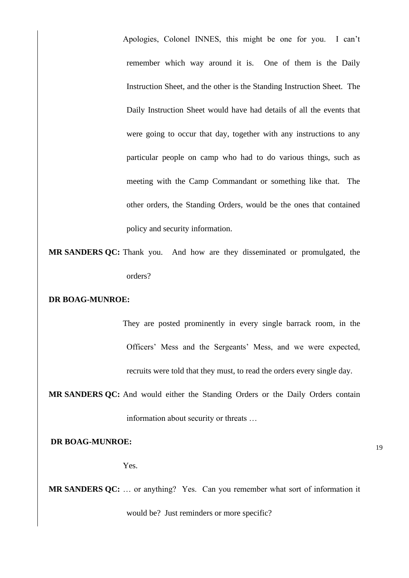Apologies, Colonel INNES, this might be one for you. I can't remember which way around it is. One of them is the Daily Instruction Sheet, and the other is the Standing Instruction Sheet. The Daily Instruction Sheet would have had details of all the events that were going to occur that day, together with any instructions to any particular people on camp who had to do various things, such as meeting with the Camp Commandant or something like that. The other orders, the Standing Orders, would be the ones that contained policy and security information.

**MR SANDERS QC:** Thank you. And how are they disseminated or promulgated, the orders?

# **DR BOAG-MUNROE:**

They are posted prominently in every single barrack room, in the Officers' Mess and the Sergeants' Mess, and we were expected, recruits were told that they must, to read the orders every single day.

**MR SANDERS QC:** And would either the Standing Orders or the Daily Orders contain information about security or threats …

**DR BOAG-MUNROE:**

Yes.

**MR SANDERS QC:** … or anything? Yes. Can you remember what sort of information it would be? Just reminders or more specific?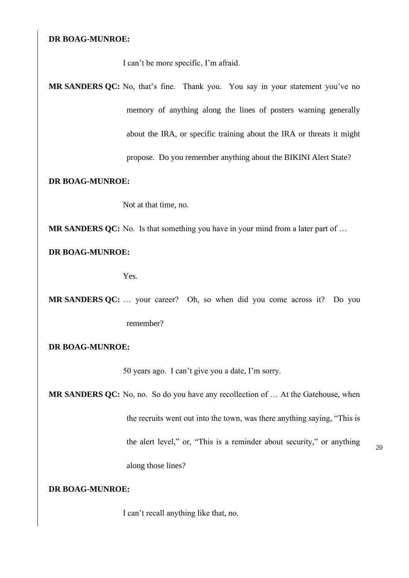I can't be more specific, I'm afraid.

**MR SANDERS QC:** No, that's fine. Thank you. You say in your statement you've no memory of anything along the lines of posters warning generally about the IRA, or specific training about the IRA or threats it might propose. Do you remember anything about the BIKINI Alert State?

# **DR BOAG-MUNROE:**

Not at that time, no.

**MR SANDERS QC:** No. Is that something you have in your mind from a later part of …

**DR BOAG-MUNROE:**

Yes.

**MR SANDERS QC:** … your career? Oh, so when did you come across it? Do you remember?

**DR BOAG-MUNROE:**

50 years ago. I can't give you a date, I'm sorry.

**MR SANDERS QC:** No, no. So do you have any recollection of … At the Gatehouse, when the recruits went out into the town, was there anything saying, "This is the alert level," or, "This is a reminder about security," or anything along those lines?

**DR BOAG-MUNROE:**

I can't recall anything like that, no.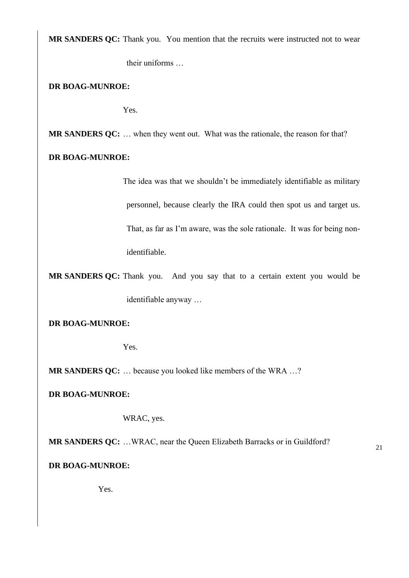**MR SANDERS QC:** Thank you. You mention that the recruits were instructed not to wear

their uniforms …

**DR BOAG-MUNROE:**

Yes.

**MR SANDERS QC:** … when they went out. What was the rationale, the reason for that?

**DR BOAG-MUNROE:**

The idea was that we shouldn't be immediately identifiable as military personnel, because clearly the IRA could then spot us and target us. That, as far as I'm aware, was the sole rationale. It was for being nonidentifiable.

21

**MR SANDERS QC:** Thank you. And you say that to a certain extent you would be identifiable anyway …

**DR BOAG-MUNROE:**

Yes.

**MR SANDERS QC:** … because you looked like members of the WRA …?

**DR BOAG-MUNROE:**

WRAC, yes.

**MR SANDERS QC:** …WRAC, near the Queen Elizabeth Barracks or in Guildford?

**DR BOAG-MUNROE:**

Yes.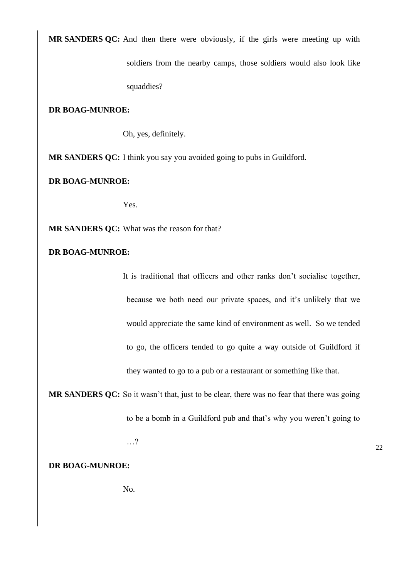**MR SANDERS QC:** And then there were obviously, if the girls were meeting up with

soldiers from the nearby camps, those soldiers would also look like

squaddies?

# **DR BOAG-MUNROE:**

Oh, yes, definitely.

**MR SANDERS QC:** I think you say you avoided going to pubs in Guildford.

**DR BOAG-MUNROE:**

Yes.

**MR SANDERS QC:** What was the reason for that?

# **DR BOAG-MUNROE:**

It is traditional that officers and other ranks don't socialise together, because we both need our private spaces, and it's unlikely that we would appreciate the same kind of environment as well. So we tended to go, the officers tended to go quite a way outside of Guildford if they wanted to go to a pub or a restaurant or something like that.

**MR SANDERS QC:** So it wasn't that, just to be clear, there was no fear that there was going to be a bomb in a Guildford pub and that's why you weren't going to

…?

**DR BOAG-MUNROE:**

No.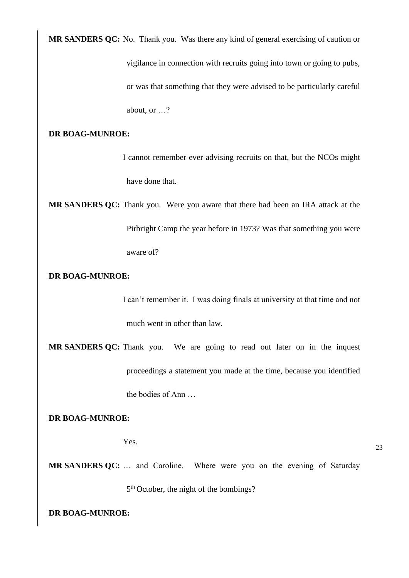**MR SANDERS QC:** No. Thank you. Was there any kind of general exercising of caution or

vigilance in connection with recruits going into town or going to pubs, or was that something that they were advised to be particularly careful about, or …?

# **DR BOAG-MUNROE:**

I cannot remember ever advising recruits on that, but the NCOs might have done that.

**MR SANDERS QC:** Thank you. Were you aware that there had been an IRA attack at the Pirbright Camp the year before in 1973? Was that something you were aware of?

**DR BOAG-MUNROE:**

I can't remember it. I was doing finals at university at that time and not much went in other than law.

**MR SANDERS QC:** Thank you. We are going to read out later on in the inquest proceedings a statement you made at the time, because you identified the bodies of Ann …

**DR BOAG-MUNROE:**

Yes.

23

**MR SANDERS QC:** … and Caroline. Where were you on the evening of Saturday 5<sup>th</sup> October, the night of the bombings?

```
DR BOAG-MUNROE:
```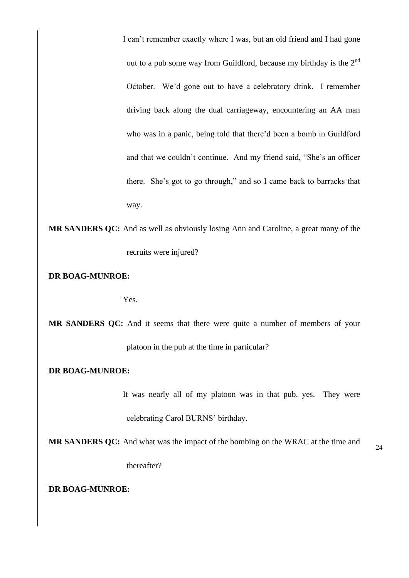I can't remember exactly where I was, but an old friend and I had gone out to a pub some way from Guildford, because my birthday is the 2nd October. We'd gone out to have a celebratory drink. I remember driving back along the dual carriageway, encountering an AA man who was in a panic, being told that there'd been a bomb in Guildford and that we couldn't continue. And my friend said, "She's an officer there. She's got to go through," and so I came back to barracks that way.

**MR SANDERS QC:** And as well as obviously losing Ann and Caroline, a great many of the recruits were injured?

**DR BOAG-MUNROE:**

Yes.

**MR SANDERS QC:** And it seems that there were quite a number of members of your platoon in the pub at the time in particular?

### **DR BOAG-MUNROE:**

It was nearly all of my platoon was in that pub, yes. They were celebrating Carol BURNS' birthday.

**MR SANDERS QC:** And what was the impact of the bombing on the WRAC at the time and

thereafter?

#### **DR BOAG-MUNROE:**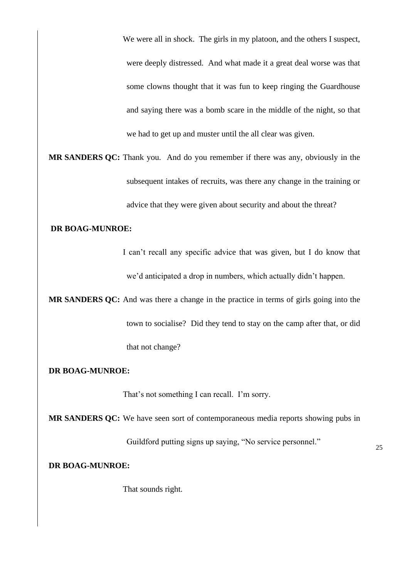We were all in shock. The girls in my platoon, and the others I suspect, were deeply distressed. And what made it a great deal worse was that some clowns thought that it was fun to keep ringing the Guardhouse and saying there was a bomb scare in the middle of the night, so that we had to get up and muster until the all clear was given.

**MR SANDERS QC:** Thank you. And do you remember if there was any, obviously in the subsequent intakes of recruits, was there any change in the training or advice that they were given about security and about the threat?

## **DR BOAG-MUNROE:**

I can't recall any specific advice that was given, but I do know that we'd anticipated a drop in numbers, which actually didn't happen.

**MR SANDERS QC:** And was there a change in the practice in terms of girls going into the town to socialise? Did they tend to stay on the camp after that, or did that not change?

#### **DR BOAG-MUNROE:**

That's not something I can recall. I'm sorry.

**MR SANDERS QC:** We have seen sort of contemporaneous media reports showing pubs in

Guildford putting signs up saying, "No service personnel."

**DR BOAG-MUNROE:**

That sounds right.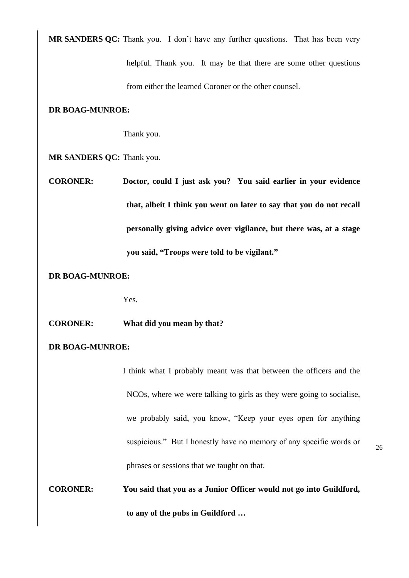**MR SANDERS QC:** Thank you. I don't have any further questions. That has been very

helpful. Thank you. It may be that there are some other questions from either the learned Coroner or the other counsel.

# **DR BOAG-MUNROE:**

Thank you.

**MR SANDERS QC:** Thank you.

**CORONER: Doctor, could I just ask you? You said earlier in your evidence that, albeit I think you went on later to say that you do not recall personally giving advice over vigilance, but there was, at a stage you said, "Troops were told to be vigilant."**

# **DR BOAG-MUNROE:**

Yes.

**CORONER: What did you mean by that?**

# **DR BOAG-MUNROE:**

I think what I probably meant was that between the officers and the NCOs, where we were talking to girls as they were going to socialise, we probably said, you know, "Keep your eyes open for anything suspicious." But I honestly have no memory of any specific words or phrases or sessions that we taught on that.

**CORONER: You said that you as a Junior Officer would not go into Guildford, to any of the pubs in Guildford …**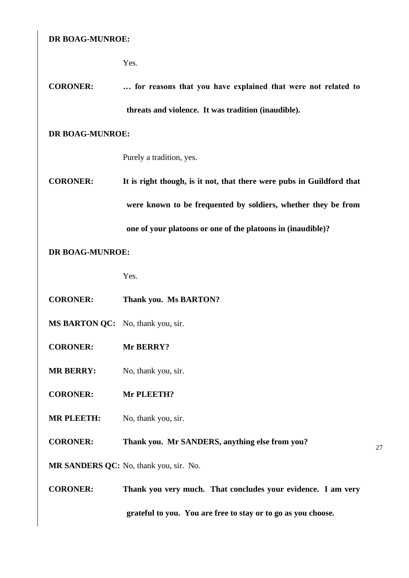Yes.

**CORONER: … for reasons that you have explained that were not related to threats and violence. It was tradition (inaudible).**

# **DR BOAG-MUNROE:**

Purely a tradition, yes.

**CORONER: It is right though, is it not, that there were pubs in Guildford that were known to be frequented by soldiers, whether they be from one of your platoons or one of the platoons in (inaudible)?**

# **DR BOAG-MUNROE:**

Yes.

- **CORONER: Thank you. Ms BARTON?**
- **MS BARTON QC:** No, thank you, sir.
- **CORONER: Mr BERRY?**
- **MR BERRY:** No, thank you, sir.
- **CORONER: Mr PLEETH?**
- **MR PLEETH:** No, thank you, sir.

# **CORONER: Thank you. Mr SANDERS, anything else from you?**

27

**MR SANDERS QC:** No, thank you, sir. No.

**CORONER: Thank you very much. That concludes your evidence. I am very grateful to you. You are free to stay or to go as you choose.**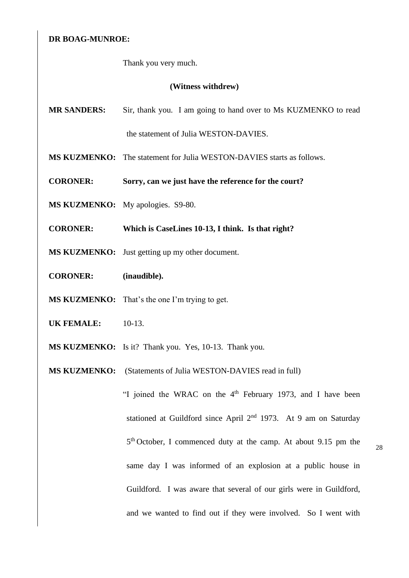Thank you very much.

#### **(Witness withdrew)**

- **MR SANDERS:** Sir, thank you. I am going to hand over to Ms KUZMENKO to read the statement of Julia WESTON-DAVIES.
- **MS KUZMENKO:** The statement for Julia WESTON-DAVIES starts as follows.
- **CORONER: Sorry, can we just have the reference for the court?**
- **MS KUZMENKO:** My apologies. S9-80.
- **CORONER: Which is CaseLines 10-13, I think. Is that right?**
- **MS KUZMENKO:** Just getting up my other document.
- **CORONER: (inaudible).**
- **MS KUZMENKO:** That's the one I'm trying to get.
- **UK FEMALE:** 10-13.
- **MS KUZMENKO:** Is it? Thank you. Yes, 10-13. Thank you.
- **MS KUZMENKO:** (Statements of Julia WESTON-DAVIES read in full)

"I joined the WRAC on the  $4<sup>th</sup>$  February 1973, and I have been stationed at Guildford since April 2nd 1973. At 9 am on Saturday 5<sup>th</sup> October, I commenced duty at the camp. At about 9.15 pm the same day I was informed of an explosion at a public house in Guildford. I was aware that several of our girls were in Guildford, and we wanted to find out if they were involved. So I went with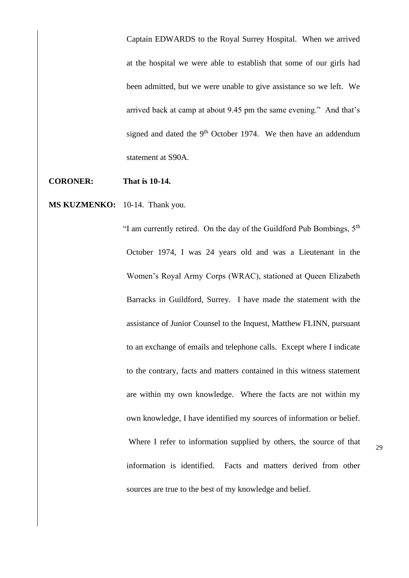Captain EDWARDS to the Royal Surrey Hospital. When we arrived at the hospital we were able to establish that some of our girls had been admitted, but we were unable to give assistance so we left. We arrived back at camp at about 9.45 pm the same evening." And that's signed and dated the 9<sup>th</sup> October 1974. We then have an addendum statement at S90A.

**CORONER: That is 10-14.**

**MS KUZMENKO:** 10-14. Thank you.

"I am currently retired. On the day of the Guildford Pub Bombings,  $5<sup>th</sup>$ October 1974, I was 24 years old and was a Lieutenant in the Women's Royal Army Corps (WRAC), stationed at Queen Elizabeth Barracks in Guildford, Surrey. I have made the statement with the assistance of Junior Counsel to the Inquest, Matthew FLINN, pursuant to an exchange of emails and telephone calls. Except where I indicate to the contrary, facts and matters contained in this witness statement are within my own knowledge. Where the facts are not within my own knowledge, I have identified my sources of information or belief. Where I refer to information supplied by others, the source of that information is identified. Facts and matters derived from other sources are true to the best of my knowledge and belief.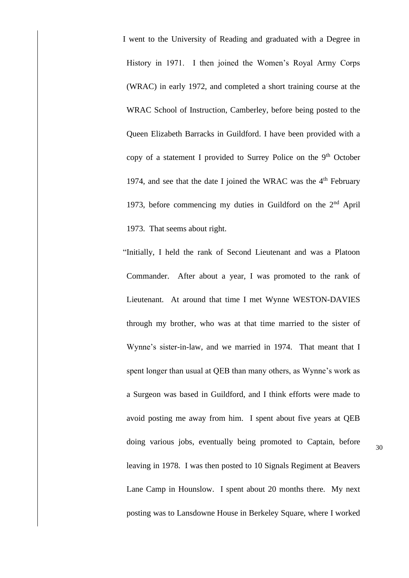I went to the University of Reading and graduated with a Degree in History in 1971. I then joined the Women's Royal Army Corps (WRAC) in early 1972, and completed a short training course at the WRAC School of Instruction, Camberley, before being posted to the Queen Elizabeth Barracks in Guildford. I have been provided with a copy of a statement I provided to Surrey Police on the 9<sup>th</sup> October 1974, and see that the date I joined the WRAC was the  $4<sup>th</sup>$  February 1973, before commencing my duties in Guildford on the  $2<sup>nd</sup>$  April 1973. That seems about right.

"Initially, I held the rank of Second Lieutenant and was a Platoon Commander. After about a year, I was promoted to the rank of Lieutenant. At around that time I met Wynne WESTON-DAVIES through my brother, who was at that time married to the sister of Wynne's sister-in-law, and we married in 1974. That meant that I spent longer than usual at QEB than many others, as Wynne's work as a Surgeon was based in Guildford, and I think efforts were made to avoid posting me away from him. I spent about five years at QEB doing various jobs, eventually being promoted to Captain, before leaving in 1978. I was then posted to 10 Signals Regiment at Beavers Lane Camp in Hounslow. I spent about 20 months there. My next posting was to Lansdowne House in Berkeley Square, where I worked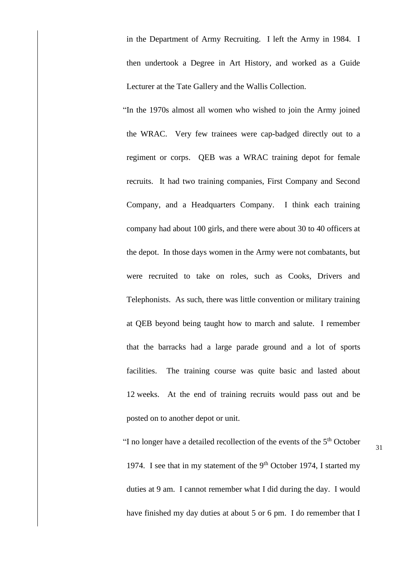in the Department of Army Recruiting. I left the Army in 1984. I then undertook a Degree in Art History, and worked as a Guide Lecturer at the Tate Gallery and the Wallis Collection.

"In the 1970s almost all women who wished to join the Army joined the WRAC. Very few trainees were cap-badged directly out to a regiment or corps. QEB was a WRAC training depot for female recruits. It had two training companies, First Company and Second Company, and a Headquarters Company. I think each training company had about 100 girls, and there were about 30 to 40 officers at the depot. In those days women in the Army were not combatants, but were recruited to take on roles, such as Cooks, Drivers and Telephonists. As such, there was little convention or military training at QEB beyond being taught how to march and salute. I remember that the barracks had a large parade ground and a lot of sports facilities. The training course was quite basic and lasted about 12 weeks. At the end of training recruits would pass out and be posted on to another depot or unit.

"I no longer have a detailed recollection of the events of the  $5<sup>th</sup>$  October 1974. I see that in my statement of the  $9<sup>th</sup>$  October 1974, I started my duties at 9 am. I cannot remember what I did during the day. I would have finished my day duties at about 5 or 6 pm. I do remember that I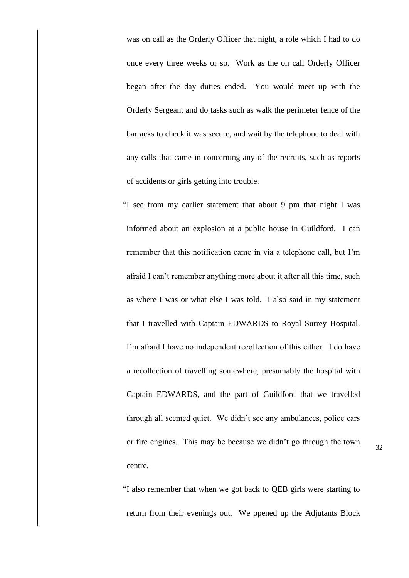was on call as the Orderly Officer that night, a role which I had to do once every three weeks or so. Work as the on call Orderly Officer began after the day duties ended. You would meet up with the Orderly Sergeant and do tasks such as walk the perimeter fence of the barracks to check it was secure, and wait by the telephone to deal with any calls that came in concerning any of the recruits, such as reports of accidents or girls getting into trouble.

"I see from my earlier statement that about 9 pm that night I was informed about an explosion at a public house in Guildford. I can remember that this notification came in via a telephone call, but I'm afraid I can't remember anything more about it after all this time, such as where I was or what else I was told. I also said in my statement that I travelled with Captain EDWARDS to Royal Surrey Hospital. I'm afraid I have no independent recollection of this either. I do have a recollection of travelling somewhere, presumably the hospital with Captain EDWARDS, and the part of Guildford that we travelled through all seemed quiet. We didn't see any ambulances, police cars or fire engines. This may be because we didn't go through the town centre.

"I also remember that when we got back to QEB girls were starting to return from their evenings out. We opened up the Adjutants Block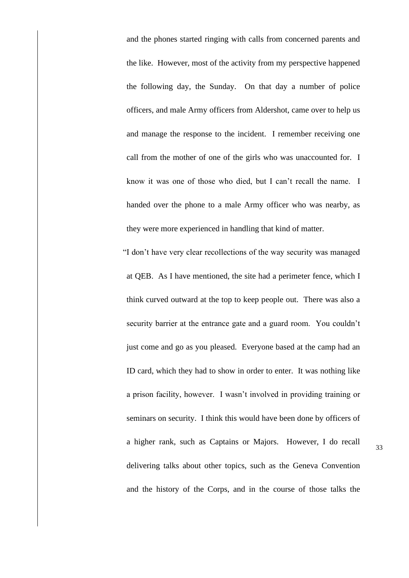and the phones started ringing with calls from concerned parents and the like. However, most of the activity from my perspective happened the following day, the Sunday. On that day a number of police officers, and male Army officers from Aldershot, came over to help us and manage the response to the incident. I remember receiving one call from the mother of one of the girls who was unaccounted for. I know it was one of those who died, but I can't recall the name. I handed over the phone to a male Army officer who was nearby, as they were more experienced in handling that kind of matter.

"I don't have very clear recollections of the way security was managed at QEB. As I have mentioned, the site had a perimeter fence, which I think curved outward at the top to keep people out. There was also a security barrier at the entrance gate and a guard room. You couldn't just come and go as you pleased. Everyone based at the camp had an ID card, which they had to show in order to enter. It was nothing like a prison facility, however. I wasn't involved in providing training or seminars on security. I think this would have been done by officers of a higher rank, such as Captains or Majors. However, I do recall delivering talks about other topics, such as the Geneva Convention and the history of the Corps, and in the course of those talks the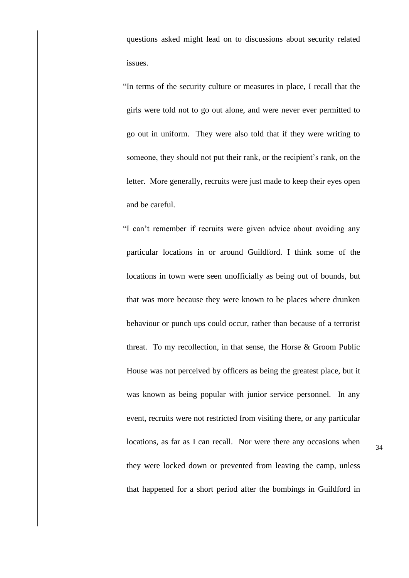questions asked might lead on to discussions about security related issues.

"In terms of the security culture or measures in place, I recall that the girls were told not to go out alone, and were never ever permitted to go out in uniform. They were also told that if they were writing to someone, they should not put their rank, or the recipient's rank, on the letter. More generally, recruits were just made to keep their eyes open and be careful.

"I can't remember if recruits were given advice about avoiding any particular locations in or around Guildford. I think some of the locations in town were seen unofficially as being out of bounds, but that was more because they were known to be places where drunken behaviour or punch ups could occur, rather than because of a terrorist threat. To my recollection, in that sense, the Horse & Groom Public House was not perceived by officers as being the greatest place, but it was known as being popular with junior service personnel. In any event, recruits were not restricted from visiting there, or any particular locations, as far as I can recall. Nor were there any occasions when they were locked down or prevented from leaving the camp, unless that happened for a short period after the bombings in Guildford in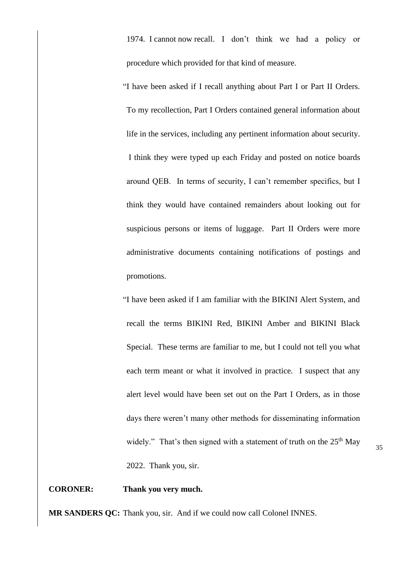1974. I cannot now recall. I don't think we had a policy or procedure which provided for that kind of measure.

"I have been asked if I recall anything about Part I or Part II Orders. To my recollection, Part I Orders contained general information about life in the services, including any pertinent information about security. I think they were typed up each Friday and posted on notice boards around QEB. In terms of security, I can't remember specifics, but I think they would have contained remainders about looking out for suspicious persons or items of luggage. Part II Orders were more administrative documents containing notifications of postings and promotions.

"I have been asked if I am familiar with the BIKINI Alert System, and recall the terms BIKINI Red, BIKINI Amber and BIKINI Black Special. These terms are familiar to me, but I could not tell you what each term meant or what it involved in practice. I suspect that any alert level would have been set out on the Part I Orders, as in those days there weren't many other methods for disseminating information widely." That's then signed with a statement of truth on the  $25<sup>th</sup>$  May 2022. Thank you, sir.

# **CORONER: Thank you very much.**

**MR SANDERS QC:** Thank you, sir. And if we could now call Colonel INNES.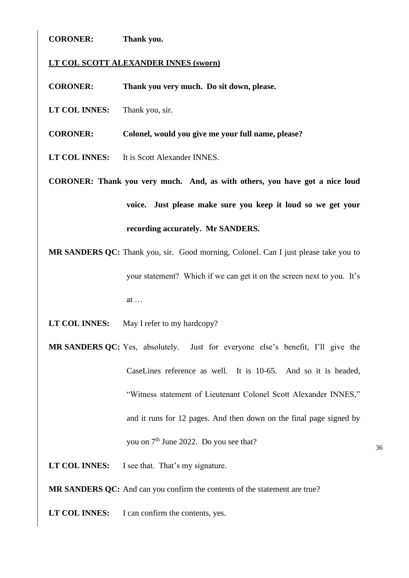# **CORONER: Thank you.**

# **LT COL SCOTT ALEXANDER INNES (sworn)**

**CORONER: Thank you very much. Do sit down, please.** 

**LT COL INNES:** Thank you, sir.

**CORONER: Colonel, would you give me your full name, please?**

**LT COL INNES:** It is Scott Alexander INNES.

**CORONER: Thank you very much. And, as with others, you have got a nice loud voice. Just please make sure you keep it loud so we get your recording accurately. Mr SANDERS.**

**MR SANDERS OC:** Thank you, sir. Good morning, Colonel. Can I just please take you to your statement? Which if we can get it on the screen next to you. It's at …

LT COL **INNES:** May I refer to my hardcopy?

**MR SANDERS QC:** Yes, absolutely. Just for everyone else's benefit, I'll give the CaseLines reference as well. It is 10-65. And so it is headed, "Witness statement of Lieutenant Colonel Scott Alexander INNES," and it runs for 12 pages. And then down on the final page signed by you on 7<sup>th</sup> June 2022. Do you see that?

LT COL **INNES:** I see that. That's my signature.

**MR SANDERS QC:** And can you confirm the contents of the statement are true?

**LT COL INNES:** I can confirm the contents, yes.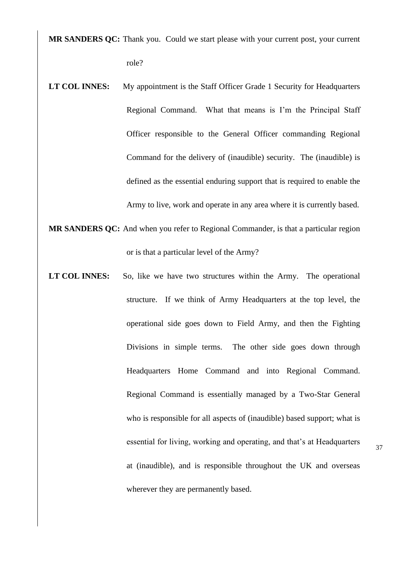**MR SANDERS QC:** Thank you. Could we start please with your current post, your current role?

- **LT COL INNES:** My appointment is the Staff Officer Grade 1 Security for Headquarters Regional Command. What that means is I'm the Principal Staff Officer responsible to the General Officer commanding Regional Command for the delivery of (inaudible) security. The (inaudible) is defined as the essential enduring support that is required to enable the Army to live, work and operate in any area where it is currently based.
- **MR SANDERS QC:** And when you refer to Regional Commander, is that a particular region or is that a particular level of the Army?
- LT COL INNES: So, like we have two structures within the Army. The operational structure. If we think of Army Headquarters at the top level, the operational side goes down to Field Army, and then the Fighting Divisions in simple terms. The other side goes down through Headquarters Home Command and into Regional Command. Regional Command is essentially managed by a Two-Star General who is responsible for all aspects of (inaudible) based support; what is essential for living, working and operating, and that's at Headquarters at (inaudible), and is responsible throughout the UK and overseas wherever they are permanently based.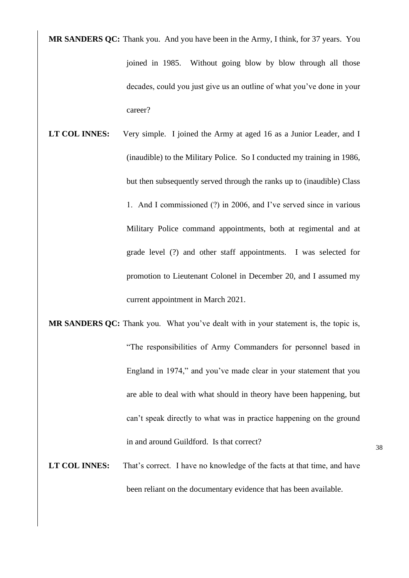**MR SANDERS QC:** Thank you. And you have been in the Army, I think, for 37 years. You joined in 1985. Without going blow by blow through all those decades, could you just give us an outline of what you've done in your career?

- **LT COL INNES:** Very simple. I joined the Army at aged 16 as a Junior Leader, and I (inaudible) to the Military Police. So I conducted my training in 1986, but then subsequently served through the ranks up to (inaudible) Class 1. And I commissioned (?) in 2006, and I've served since in various Military Police command appointments, both at regimental and at grade level (?) and other staff appointments. I was selected for promotion to Lieutenant Colonel in December 20, and I assumed my current appointment in March 2021.
- **MR SANDERS QC:** Thank you. What you've dealt with in your statement is, the topic is, "The responsibilities of Army Commanders for personnel based in England in 1974," and you've made clear in your statement that you are able to deal with what should in theory have been happening, but can't speak directly to what was in practice happening on the ground in and around Guildford. Is that correct?
- LT COL INNES: That's correct. I have no knowledge of the facts at that time, and have been reliant on the documentary evidence that has been available.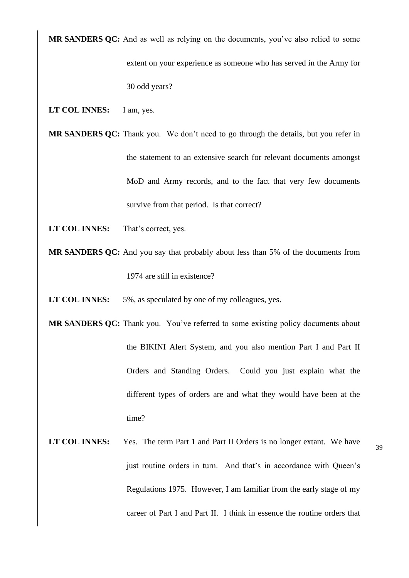**MR SANDERS QC:** And as well as relying on the documents, you've also relied to some extent on your experience as someone who has served in the Army for

30 odd years?

**LT COL INNES:** I am, yes.

**MR SANDERS QC:** Thank you. We don't need to go through the details, but you refer in the statement to an extensive search for relevant documents amongst MoD and Army records, and to the fact that very few documents survive from that period. Is that correct?

- **LT COL INNES:** That's correct, yes.
- **MR SANDERS QC:** And you say that probably about less than 5% of the documents from 1974 are still in existence?
- **LT COL INNES:** 5%, as speculated by one of my colleagues, yes.

**MR SANDERS QC:** Thank you. You've referred to some existing policy documents about the BIKINI Alert System, and you also mention Part I and Part II Orders and Standing Orders. Could you just explain what the different types of orders are and what they would have been at the time?

**LT COL INNES:** Yes. The term Part 1 and Part II Orders is no longer extant. We have just routine orders in turn. And that's in accordance with Queen's Regulations 1975. However, I am familiar from the early stage of my career of Part I and Part II. I think in essence the routine orders that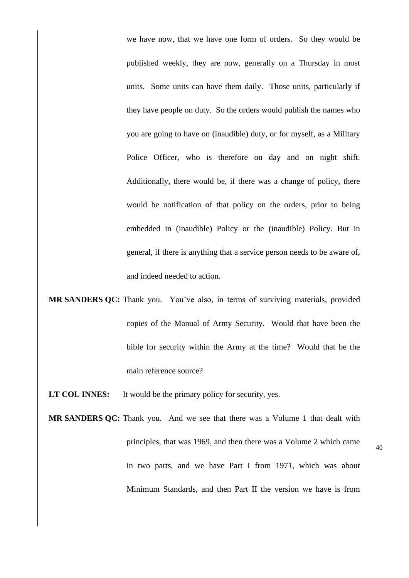we have now, that we have one form of orders. So they would be published weekly, they are now, generally on a Thursday in most units. Some units can have them daily. Those units, particularly if they have people on duty. So the orders would publish the names who you are going to have on (inaudible) duty, or for myself, as a Military Police Officer, who is therefore on day and on night shift. Additionally, there would be, if there was a change of policy, there would be notification of that policy on the orders, prior to being embedded in (inaudible) Policy or the (inaudible) Policy. But in general, if there is anything that a service person needs to be aware of, and indeed needed to action.

**MR SANDERS QC:** Thank you. You've also, in terms of surviving materials, provided copies of the Manual of Army Security. Would that have been the bible for security within the Army at the time? Would that be the main reference source?

LT COL INNES: It would be the primary policy for security, yes.

**MR SANDERS QC:** Thank you. And we see that there was a Volume 1 that dealt with principles, that was 1969, and then there was a Volume 2 which came in two parts, and we have Part I from 1971, which was about Minimum Standards, and then Part II the version we have is from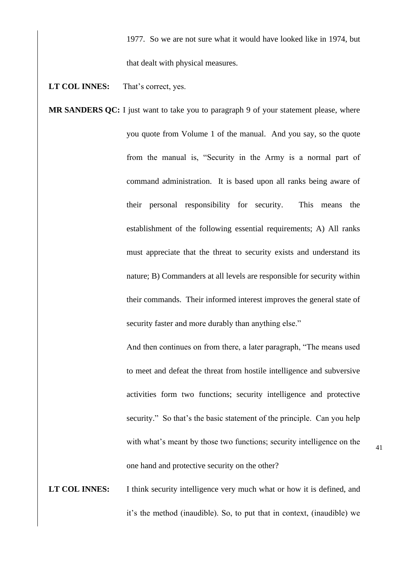1977. So we are not sure what it would have looked like in 1974, but that dealt with physical measures.

LT COL **INNES:** That's correct, yes.

**MR SANDERS QC:** I just want to take you to paragraph 9 of your statement please, where you quote from Volume 1 of the manual. And you say, so the quote from the manual is, "Security in the Army is a normal part of command administration. It is based upon all ranks being aware of their personal responsibility for security. This means the establishment of the following essential requirements; A) All ranks must appreciate that the threat to security exists and understand its nature; B) Commanders at all levels are responsible for security within their commands. Their informed interest improves the general state of security faster and more durably than anything else."

> And then continues on from there, a later paragraph, "The means used to meet and defeat the threat from hostile intelligence and subversive activities form two functions; security intelligence and protective security." So that's the basic statement of the principle. Can you help with what's meant by those two functions; security intelligence on the one hand and protective security on the other?

**LT COL INNES:** I think security intelligence very much what or how it is defined, and it's the method (inaudible). So, to put that in context, (inaudible) we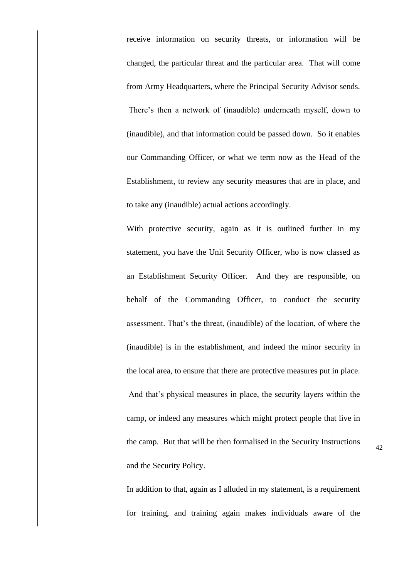receive information on security threats, or information will be changed, the particular threat and the particular area. That will come from Army Headquarters, where the Principal Security Advisor sends. There's then a network of (inaudible) underneath myself, down to (inaudible), and that information could be passed down. So it enables our Commanding Officer, or what we term now as the Head of the Establishment, to review any security measures that are in place, and to take any (inaudible) actual actions accordingly.

With protective security, again as it is outlined further in my statement, you have the Unit Security Officer, who is now classed as an Establishment Security Officer. And they are responsible, on behalf of the Commanding Officer, to conduct the security assessment. That's the threat, (inaudible) of the location, of where the (inaudible) is in the establishment, and indeed the minor security in the local area, to ensure that there are protective measures put in place. And that's physical measures in place, the security layers within the camp, or indeed any measures which might protect people that live in the camp. But that will be then formalised in the Security Instructions and the Security Policy.

In addition to that, again as I alluded in my statement, is a requirement for training, and training again makes individuals aware of the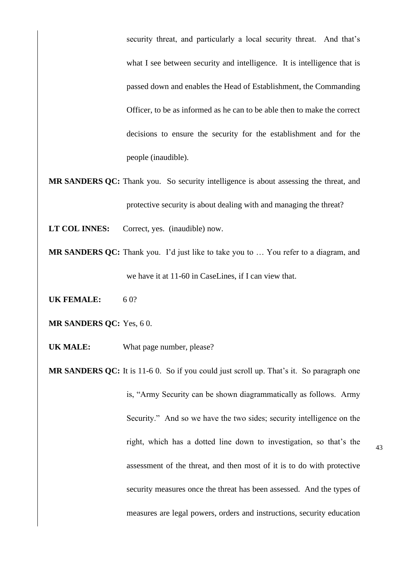security threat, and particularly a local security threat. And that's what I see between security and intelligence. It is intelligence that is passed down and enables the Head of Establishment, the Commanding Officer, to be as informed as he can to be able then to make the correct decisions to ensure the security for the establishment and for the people (inaudible).

- **MR SANDERS QC:** Thank you. So security intelligence is about assessing the threat, and protective security is about dealing with and managing the threat?
- **LT COL INNES:** Correct, yes. (inaudible) now.
- **MR SANDERS OC:** Thank you. I'd just like to take you to ... You refer to a diagram, and we have it at 11-60 in CaseLines, if I can view that.
- **UK FEMALE:** 6 0?
- **MR SANDERS QC:** Yes, 6 0.
- **UK MALE:** What page number, please?
- **MR SANDERS QC:** It is 11-6 0. So if you could just scroll up. That's it. So paragraph one is, "Army Security can be shown diagrammatically as follows. Army Security." And so we have the two sides; security intelligence on the right, which has a dotted line down to investigation, so that's the assessment of the threat, and then most of it is to do with protective security measures once the threat has been assessed. And the types of measures are legal powers, orders and instructions, security education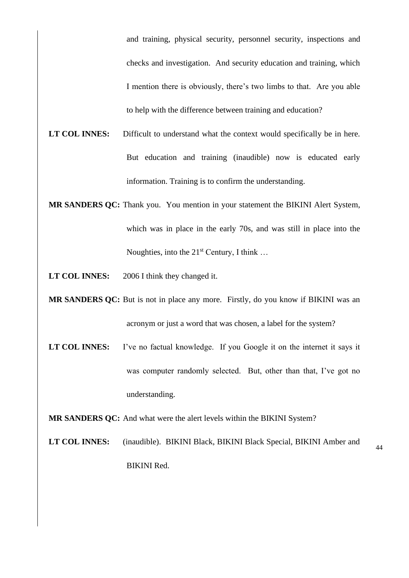and training, physical security, personnel security, inspections and checks and investigation. And security education and training, which I mention there is obviously, there's two limbs to that. Are you able to help with the difference between training and education?

- **LT COL INNES:** Difficult to understand what the context would specifically be in here. But education and training (inaudible) now is educated early information. Training is to confirm the understanding.
- **MR SANDERS QC:** Thank you. You mention in your statement the BIKINI Alert System, which was in place in the early 70s, and was still in place into the Noughties, into the  $21<sup>st</sup>$  Century, I think ...

**LT COL INNES:** 2006 I think they changed it.

- **MR SANDERS QC:** But is not in place any more. Firstly, do you know if BIKINI was an acronym or just a word that was chosen, a label for the system?
- LT COL INNES: I've no factual knowledge. If you Google it on the internet it says it was computer randomly selected. But, other than that, I've got no understanding.

**MR SANDERS QC:** And what were the alert levels within the BIKINI System?

**LT COL INNES:** (inaudible). BIKINI Black, BIKINI Black Special, BIKINI Amber and BIKINI Red.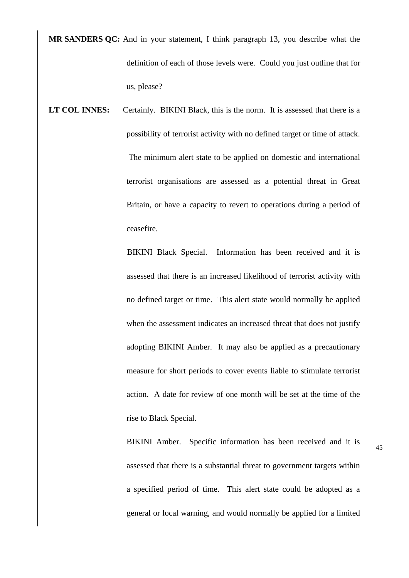**MR SANDERS QC:** And in your statement, I think paragraph 13, you describe what the definition of each of those levels were. Could you just outline that for us, please?

LT COL INNES: Certainly. BIKINI Black, this is the norm. It is assessed that there is a possibility of terrorist activity with no defined target or time of attack. The minimum alert state to be applied on domestic and international terrorist organisations are assessed as a potential threat in Great Britain, or have a capacity to revert to operations during a period of ceasefire.

> BIKINI Black Special. Information has been received and it is assessed that there is an increased likelihood of terrorist activity with no defined target or time. This alert state would normally be applied when the assessment indicates an increased threat that does not justify adopting BIKINI Amber. It may also be applied as a precautionary measure for short periods to cover events liable to stimulate terrorist action. A date for review of one month will be set at the time of the rise to Black Special.

> BIKINI Amber. Specific information has been received and it is assessed that there is a substantial threat to government targets within a specified period of time. This alert state could be adopted as a general or local warning, and would normally be applied for a limited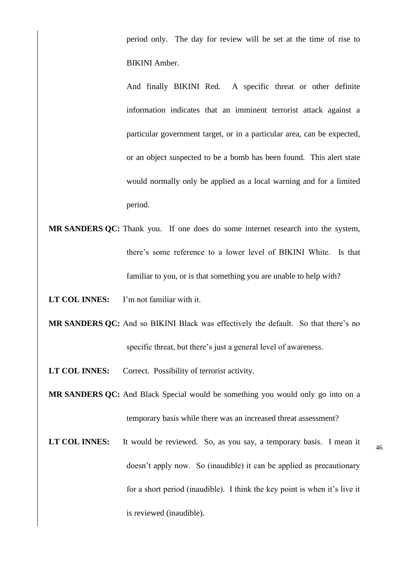period only. The day for review will be set at the time of rise to BIKINI Amber.

And finally BIKINI Red. A specific threat or other definite information indicates that an imminent terrorist attack against a particular government target, or in a particular area, can be expected, or an object suspected to be a bomb has been found. This alert state would normally only be applied as a local warning and for a limited period.

**MR SANDERS QC:** Thank you. If one does do some internet research into the system, there's some reference to a lower level of BIKINI White. Is that familiar to you, or is that something you are unable to help with?

**LT COL INNES:** I'm not familiar with it.

**MR SANDERS QC:** And so BIKINI Black was effectively the default. So that there's no specific threat, but there's just a general level of awareness.

**LT COL INNES:** Correct. Possibility of terrorist activity.

**MR SANDERS QC:** And Black Special would be something you would only go into on a temporary basis while there was an increased threat assessment?

LT COL INNES: It would be reviewed. So, as you say, a temporary basis. I mean it doesn't apply now. So (inaudible) it can be applied as precautionary for a short period (inaudible). I think the key point is when it's live it is reviewed (inaudible).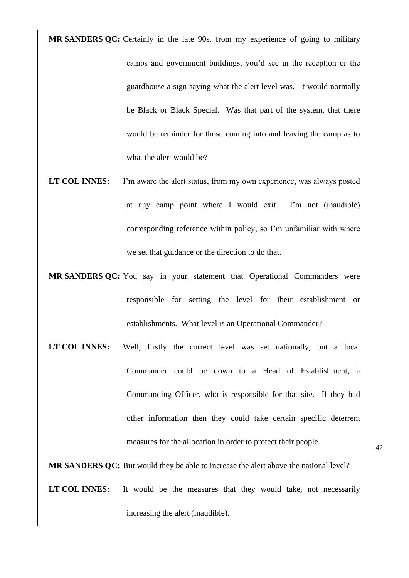- **MR SANDERS QC:** Certainly in the late 90s, from my experience of going to military camps and government buildings, you'd see in the reception or the guardhouse a sign saying what the alert level was. It would normally be Black or Black Special. Was that part of the system, that there would be reminder for those coming into and leaving the camp as to what the alert would be?
- **LT COL INNES:** I'm aware the alert status, from my own experience, was always posted at any camp point where I would exit. I'm not (inaudible) corresponding reference within policy, so I'm unfamiliar with where we set that guidance or the direction to do that.
- **MR SANDERS QC:** You say in your statement that Operational Commanders were responsible for setting the level for their establishment or establishments. What level is an Operational Commander?
- **LT COL INNES:** Well, firstly the correct level was set nationally, but a local Commander could be down to a Head of Establishment, a Commanding Officer, who is responsible for that site. If they had other information then they could take certain specific deterrent measures for the allocation in order to protect their people.

- **MR SANDERS QC:** But would they be able to increase the alert above the national level?
- **LT COL INNES:** It would be the measures that they would take, not necessarily increasing the alert (inaudible).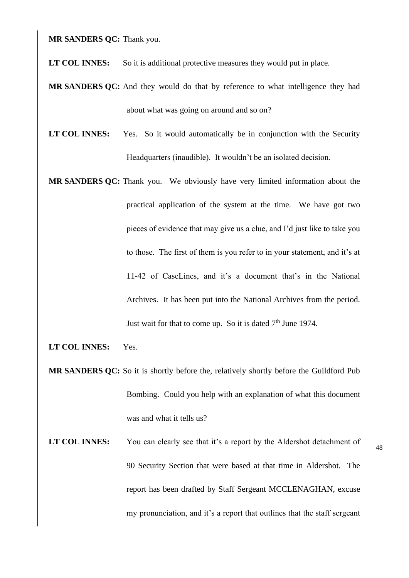**MR SANDERS QC:** Thank you.

LT COL INNES: So it is additional protective measures they would put in place.

- **MR SANDERS QC:** And they would do that by reference to what intelligence they had about what was going on around and so on?
- **LT COL INNES:** Yes. So it would automatically be in conjunction with the Security Headquarters (inaudible). It wouldn't be an isolated decision.
- **MR SANDERS QC:** Thank you. We obviously have very limited information about the practical application of the system at the time. We have got two pieces of evidence that may give us a clue, and I'd just like to take you to those. The first of them is you refer to in your statement, and it's at 11-42 of CaseLines, and it's a document that's in the National Archives. It has been put into the National Archives from the period. Just wait for that to come up. So it is dated  $7<sup>th</sup>$  June 1974.
- **LT COL INNES:** Yes.
- **MR SANDERS QC:** So it is shortly before the, relatively shortly before the Guildford Pub Bombing. Could you help with an explanation of what this document was and what it tells us?
- LT COL INNES: You can clearly see that it's a report by the Aldershot detachment of 90 Security Section that were based at that time in Aldershot. The report has been drafted by Staff Sergeant MCCLENAGHAN, excuse my pronunciation, and it's a report that outlines that the staff sergeant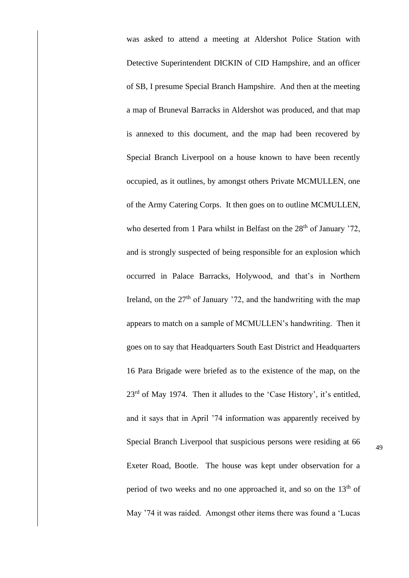was asked to attend a meeting at Aldershot Police Station with Detective Superintendent DICKIN of CID Hampshire, and an officer of SB, I presume Special Branch Hampshire. And then at the meeting a map of Bruneval Barracks in Aldershot was produced, and that map is annexed to this document, and the map had been recovered by Special Branch Liverpool on a house known to have been recently occupied, as it outlines, by amongst others Private MCMULLEN, one of the Army Catering Corps. It then goes on to outline MCMULLEN, who deserted from 1 Para whilst in Belfast on the  $28<sup>th</sup>$  of January  $72$ , and is strongly suspected of being responsible for an explosion which occurred in Palace Barracks, Holywood, and that's in Northern Ireland, on the  $27<sup>th</sup>$  of January '72, and the handwriting with the map appears to match on a sample of MCMULLEN's handwriting. Then it goes on to say that Headquarters South East District and Headquarters 16 Para Brigade were briefed as to the existence of the map, on the 23rd of May 1974. Then it alludes to the 'Case History', it's entitled, and it says that in April '74 information was apparently received by Special Branch Liverpool that suspicious persons were residing at 66 Exeter Road, Bootle. The house was kept under observation for a period of two weeks and no one approached it, and so on the  $13<sup>th</sup>$  of May '74 it was raided. Amongst other items there was found a 'Lucas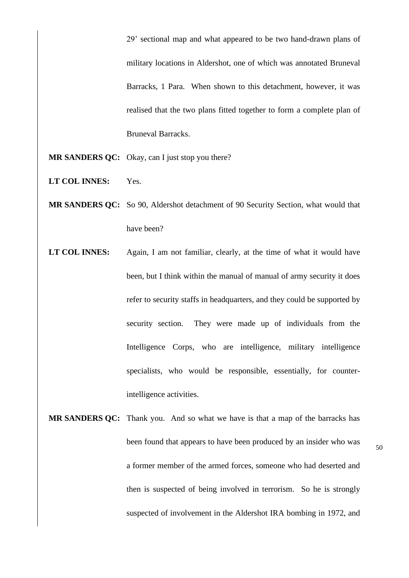29' sectional map and what appeared to be two hand-drawn plans of military locations in Aldershot, one of which was annotated Bruneval Barracks, 1 Para. When shown to this detachment, however, it was realised that the two plans fitted together to form a complete plan of Bruneval Barracks.

- **MR SANDERS QC:** Okay, can I just stop you there?
- **LT COL INNES:** Yes.
- **MR SANDERS QC:** So 90, Aldershot detachment of 90 Security Section, what would that have been?
- **LT COL INNES:** Again, I am not familiar, clearly, at the time of what it would have been, but I think within the manual of manual of army security it does refer to security staffs in headquarters, and they could be supported by security section. They were made up of individuals from the Intelligence Corps, who are intelligence, military intelligence specialists, who would be responsible, essentially, for counterintelligence activities.
- **MR SANDERS QC:** Thank you. And so what we have is that a map of the barracks has been found that appears to have been produced by an insider who was a former member of the armed forces, someone who had deserted and then is suspected of being involved in terrorism. So he is strongly suspected of involvement in the Aldershot IRA bombing in 1972, and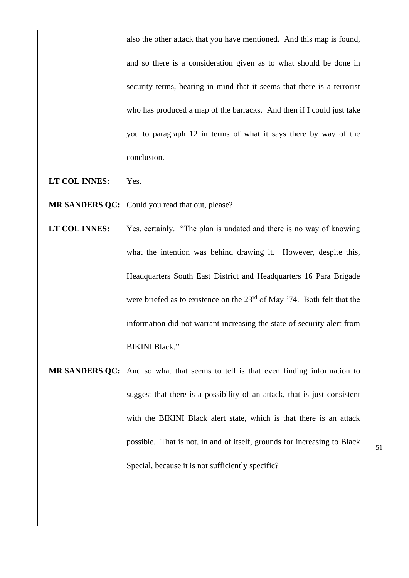also the other attack that you have mentioned. And this map is found, and so there is a consideration given as to what should be done in security terms, bearing in mind that it seems that there is a terrorist who has produced a map of the barracks. And then if I could just take you to paragraph 12 in terms of what it says there by way of the conclusion.

- **LT COL INNES:** Yes.
- **MR SANDERS QC:** Could you read that out, please?
- **LT COL INNES:** Yes, certainly. "The plan is undated and there is no way of knowing what the intention was behind drawing it. However, despite this, Headquarters South East District and Headquarters 16 Para Brigade were briefed as to existence on the 23<sup>rd</sup> of May '74. Both felt that the information did not warrant increasing the state of security alert from BIKINI Black."
- **MR SANDERS QC:** And so what that seems to tell is that even finding information to suggest that there is a possibility of an attack, that is just consistent with the BIKINI Black alert state, which is that there is an attack possible. That is not, in and of itself, grounds for increasing to Black Special, because it is not sufficiently specific?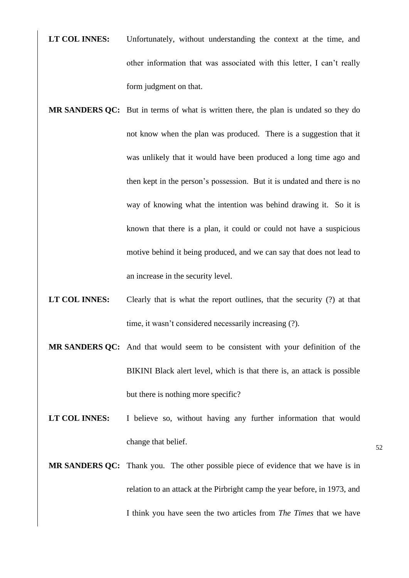- **LT COL INNES:** Unfortunately, without understanding the context at the time, and other information that was associated with this letter, I can't really form judgment on that.
- **MR SANDERS QC:** But in terms of what is written there, the plan is undated so they do not know when the plan was produced. There is a suggestion that it was unlikely that it would have been produced a long time ago and then kept in the person's possession. But it is undated and there is no way of knowing what the intention was behind drawing it. So it is known that there is a plan, it could or could not have a suspicious motive behind it being produced, and we can say that does not lead to an increase in the security level.
- **LT COL INNES:** Clearly that is what the report outlines, that the security (?) at that time, it wasn't considered necessarily increasing (?).
- **MR SANDERS QC:** And that would seem to be consistent with your definition of the BIKINI Black alert level, which is that there is, an attack is possible but there is nothing more specific?
- LT COL INNES: I believe so, without having any further information that would change that belief.
- **MR SANDERS QC:** Thank you. The other possible piece of evidence that we have is in relation to an attack at the Pirbright camp the year before, in 1973, and I think you have seen the two articles from *The Times* that we have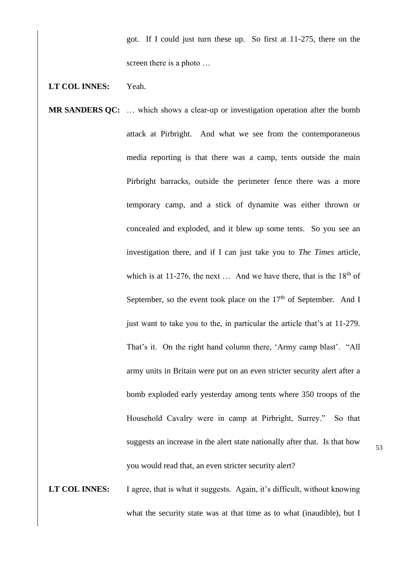got. If I could just turn these up. So first at 11-275, there on the screen there is a photo …

## **LT COL INNES:** Yeah.

**MR SANDERS OC:** ... which shows a clear-up or investigation operation after the bomb attack at Pirbright. And what we see from the contemporaneous media reporting is that there was a camp, tents outside the main Pirbright barracks, outside the perimeter fence there was a more temporary camp, and a stick of dynamite was either thrown or concealed and exploded, and it blew up some tents. So you see an investigation there, and if I can just take you to *The Times* article, which is at 11-276, the next  $\ldots$  And we have there, that is the 18<sup>th</sup> of September, so the event took place on the  $17<sup>th</sup>$  of September. And I just want to take you to the, in particular the article that's at 11-279. That's it. On the right hand column there, 'Army camp blast'. "All army units in Britain were put on an even stricter security alert after a bomb exploded early yesterday among tents where 350 troops of the Household Cavalry were in camp at Pirbright, Surrey." So that suggests an increase in the alert state nationally after that. Is that how you would read that, an even stricter security alert?

**LT COL INNES:** I agree, that is what it suggests. Again, it's difficult, without knowing what the security state was at that time as to what (inaudible), but I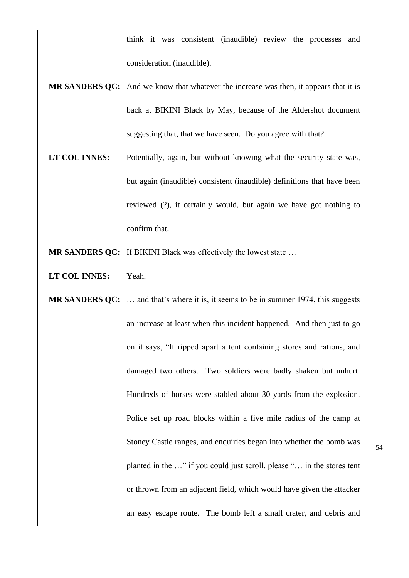think it was consistent (inaudible) review the processes and consideration (inaudible).

- **MR SANDERS QC:** And we know that whatever the increase was then, it appears that it is back at BIKINI Black by May, because of the Aldershot document suggesting that, that we have seen. Do you agree with that?
- LT COL INNES: Potentially, again, but without knowing what the security state was, but again (inaudible) consistent (inaudible) definitions that have been reviewed (?), it certainly would, but again we have got nothing to confirm that.
- **MR SANDERS OC:** If BIKINI Black was effectively the lowest state ...
- **LT COL INNES:** Yeah.
- **MR SANDERS QC:** … and that's where it is, it seems to be in summer 1974, this suggests an increase at least when this incident happened. And then just to go on it says, "It ripped apart a tent containing stores and rations, and damaged two others. Two soldiers were badly shaken but unhurt. Hundreds of horses were stabled about 30 yards from the explosion. Police set up road blocks within a five mile radius of the camp at Stoney Castle ranges, and enquiries began into whether the bomb was planted in the …" if you could just scroll, please "… in the stores tent or thrown from an adjacent field, which would have given the attacker an easy escape route. The bomb left a small crater, and debris and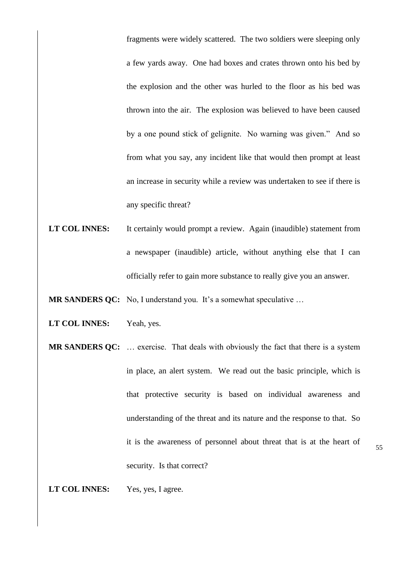fragments were widely scattered. The two soldiers were sleeping only a few yards away. One had boxes and crates thrown onto his bed by the explosion and the other was hurled to the floor as his bed was thrown into the air. The explosion was believed to have been caused by a one pound stick of gelignite. No warning was given." And so from what you say, any incident like that would then prompt at least an increase in security while a review was undertaken to see if there is any specific threat?

LT COL INNES: It certainly would prompt a review. Again (inaudible) statement from a newspaper (inaudible) article, without anything else that I can officially refer to gain more substance to really give you an answer.

**MR SANDERS QC:** No, I understand you. It's a somewhat speculative ...

- **LT COL INNES:** Yeah, yes.
- **MR SANDERS QC:** ... exercise. That deals with obviously the fact that there is a system in place, an alert system. We read out the basic principle, which is that protective security is based on individual awareness and understanding of the threat and its nature and the response to that. So it is the awareness of personnel about threat that is at the heart of security. Is that correct?

**LT COL INNES:** Yes, yes, I agree.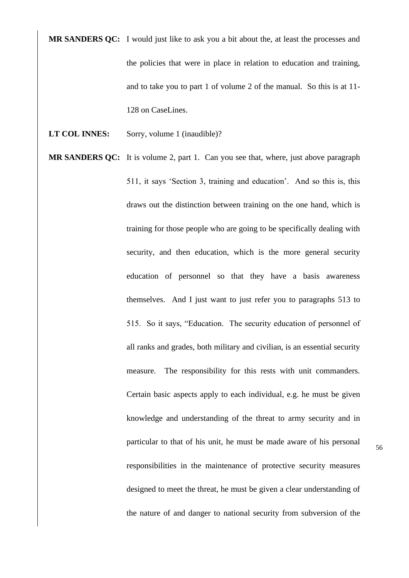**MR SANDERS QC:** I would just like to ask you a bit about the, at least the processes and the policies that were in place in relation to education and training, and to take you to part 1 of volume 2 of the manual. So this is at 11- 128 on CaseLines.

- **LT COL INNES:** Sorry, volume 1 (inaudible)?
- **MR SANDERS QC:** It is volume 2, part 1. Can you see that, where, just above paragraph 511, it says 'Section 3, training and education'. And so this is, this draws out the distinction between training on the one hand, which is training for those people who are going to be specifically dealing with security, and then education, which is the more general security education of personnel so that they have a basis awareness themselves. And I just want to just refer you to paragraphs 513 to 515. So it says, "Education. The security education of personnel of all ranks and grades, both military and civilian, is an essential security measure. The responsibility for this rests with unit commanders. Certain basic aspects apply to each individual, e.g. he must be given knowledge and understanding of the threat to army security and in particular to that of his unit, he must be made aware of his personal responsibilities in the maintenance of protective security measures designed to meet the threat, he must be given a clear understanding of the nature of and danger to national security from subversion of the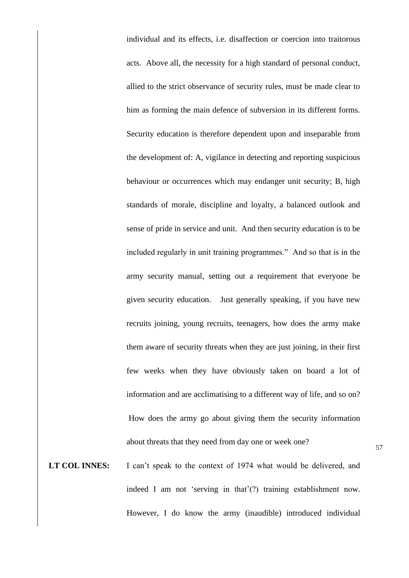individual and its effects, i.e. disaffection or coercion into traitorous acts. Above all, the necessity for a high standard of personal conduct, allied to the strict observance of security rules, must be made clear to him as forming the main defence of subversion in its different forms. Security education is therefore dependent upon and inseparable from the development of: A, vigilance in detecting and reporting suspicious behaviour or occurrences which may endanger unit security; B, high standards of morale, discipline and loyalty, a balanced outlook and sense of pride in service and unit. And then security education is to be included regularly in unit training programmes." And so that is in the army security manual, setting out a requirement that everyone be given security education. Just generally speaking, if you have new recruits joining, young recruits, teenagers, how does the army make them aware of security threats when they are just joining, in their first few weeks when they have obviously taken on board a lot of information and are acclimatising to a different way of life, and so on? How does the army go about giving them the security information about threats that they need from day one or week one?

LT COL INNES: I can't speak to the context of 1974 what would be delivered, and indeed I am not 'serving in that'(?) training establishment now. However, I do know the army (inaudible) introduced individual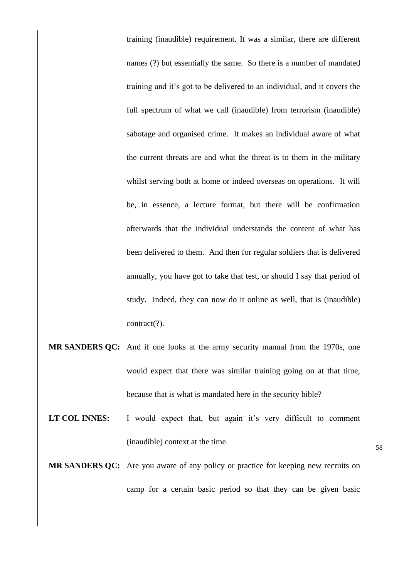training (inaudible) requirement. It was a similar, there are different names (?) but essentially the same. So there is a number of mandated training and it's got to be delivered to an individual, and it covers the full spectrum of what we call (inaudible) from terrorism (inaudible) sabotage and organised crime. It makes an individual aware of what the current threats are and what the threat is to them in the military whilst serving both at home or indeed overseas on operations. It will be, in essence, a lecture format, but there will be confirmation afterwards that the individual understands the content of what has been delivered to them. And then for regular soldiers that is delivered annually, you have got to take that test, or should I say that period of study. Indeed, they can now do it online as well, that is (inaudible) contract(?).

- **MR SANDERS QC:** And if one looks at the army security manual from the 1970s, one would expect that there was similar training going on at that time, because that is what is mandated here in the security bible?
- LT COL INNES: I would expect that, but again it's very difficult to comment (inaudible) context at the time.
- **MR SANDERS QC:** Are you aware of any policy or practice for keeping new recruits on camp for a certain basic period so that they can be given basic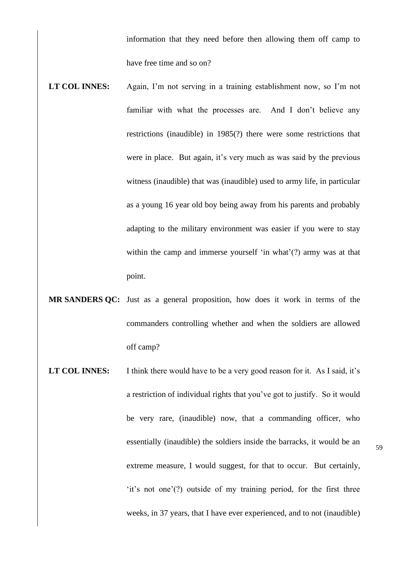information that they need before then allowing them off camp to have free time and so on?

- **LT COL INNES:** Again, I'm not serving in a training establishment now, so I'm not familiar with what the processes are. And I don't believe any restrictions (inaudible) in 1985(?) there were some restrictions that were in place. But again, it's very much as was said by the previous witness (inaudible) that was (inaudible) used to army life, in particular as a young 16 year old boy being away from his parents and probably adapting to the military environment was easier if you were to stay within the camp and immerse yourself 'in what'(?) army was at that point.
- **MR SANDERS QC:** Just as a general proposition, how does it work in terms of the commanders controlling whether and when the soldiers are allowed off camp?
- LT COL INNES: I think there would have to be a very good reason for it. As I said, it's a restriction of individual rights that you've got to justify. So it would be very rare, (inaudible) now, that a commanding officer, who essentially (inaudible) the soldiers inside the barracks, it would be an extreme measure, I would suggest, for that to occur. But certainly, 'it's not one'(?) outside of my training period, for the first three weeks, in 37 years, that I have ever experienced, and to not (inaudible)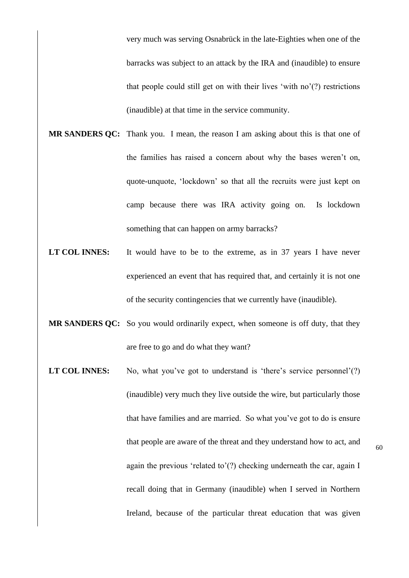very much was serving Osnabrück in the late-Eighties when one of the barracks was subject to an attack by the IRA and (inaudible) to ensure that people could still get on with their lives 'with no'(?) restrictions (inaudible) at that time in the service community.

- **MR SANDERS QC:** Thank you. I mean, the reason I am asking about this is that one of the families has raised a concern about why the bases weren't on, quote-unquote, 'lockdown' so that all the recruits were just kept on camp because there was IRA activity going on. Is lockdown something that can happen on army barracks?
- LT COL INNES: It would have to be to the extreme, as in 37 years I have never experienced an event that has required that, and certainly it is not one of the security contingencies that we currently have (inaudible).
- **MR SANDERS QC:** So you would ordinarily expect, when someone is off duty, that they are free to go and do what they want?
- **LT COL INNES:** No, what you've got to understand is 'there's service personnel'(?) (inaudible) very much they live outside the wire, but particularly those that have families and are married. So what you've got to do is ensure that people are aware of the threat and they understand how to act, and again the previous 'related to'(?) checking underneath the car, again I recall doing that in Germany (inaudible) when I served in Northern Ireland, because of the particular threat education that was given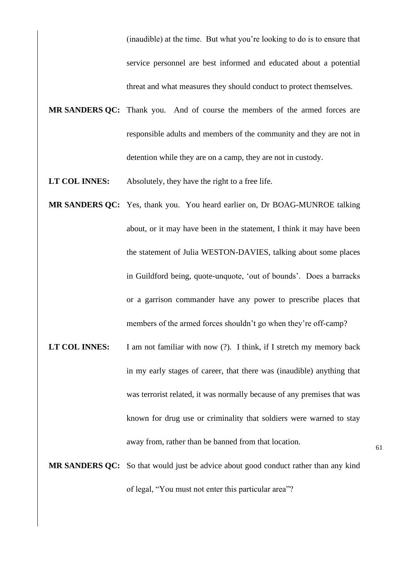(inaudible) at the time. But what you're looking to do is to ensure that service personnel are best informed and educated about a potential threat and what measures they should conduct to protect themselves.

- **MR SANDERS QC:** Thank you. And of course the members of the armed forces are responsible adults and members of the community and they are not in detention while they are on a camp, they are not in custody.
- **LT COL INNES:** Absolutely, they have the right to a free life.
- **MR SANDERS QC:** Yes, thank you. You heard earlier on, Dr BOAG-MUNROE talking about, or it may have been in the statement, I think it may have been the statement of Julia WESTON-DAVIES, talking about some places in Guildford being, quote-unquote, 'out of bounds'. Does a barracks or a garrison commander have any power to prescribe places that members of the armed forces shouldn't go when they're off-camp?
- **LT COL INNES:** I am not familiar with now (?). I think, if I stretch my memory back in my early stages of career, that there was (inaudible) anything that was terrorist related, it was normally because of any premises that was known for drug use or criminality that soldiers were warned to stay away from, rather than be banned from that location.

**MR SANDERS QC:** So that would just be advice about good conduct rather than any kind of legal, "You must not enter this particular area"?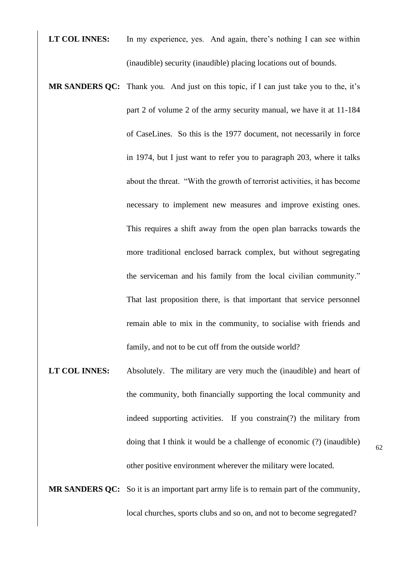- LT COL INNES: In my experience, yes. And again, there's nothing I can see within (inaudible) security (inaudible) placing locations out of bounds.
- **MR SANDERS QC:** Thank you. And just on this topic, if I can just take you to the, it's part 2 of volume 2 of the army security manual, we have it at 11-184 of CaseLines. So this is the 1977 document, not necessarily in force in 1974, but I just want to refer you to paragraph 203, where it talks about the threat. "With the growth of terrorist activities, it has become necessary to implement new measures and improve existing ones. This requires a shift away from the open plan barracks towards the more traditional enclosed barrack complex, but without segregating the serviceman and his family from the local civilian community." That last proposition there, is that important that service personnel remain able to mix in the community, to socialise with friends and family, and not to be cut off from the outside world?
- **LT COL INNES:** Absolutely. The military are very much the (inaudible) and heart of the community, both financially supporting the local community and indeed supporting activities. If you constrain(?) the military from doing that I think it would be a challenge of economic (?) (inaudible) other positive environment wherever the military were located.
- 62
- **MR SANDERS QC:** So it is an important part army life is to remain part of the community, local churches, sports clubs and so on, and not to become segregated?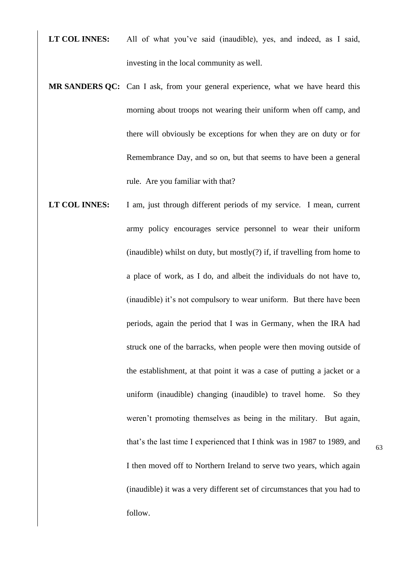- **LT COL INNES:** All of what you've said (inaudible), yes, and indeed, as I said, investing in the local community as well.
- **MR SANDERS QC:** Can I ask, from your general experience, what we have heard this morning about troops not wearing their uniform when off camp, and there will obviously be exceptions for when they are on duty or for Remembrance Day, and so on, but that seems to have been a general rule. Are you familiar with that?
- LT COL INNES: I am, just through different periods of my service. I mean, current army policy encourages service personnel to wear their uniform (inaudible) whilst on duty, but mostly(?) if, if travelling from home to a place of work, as I do, and albeit the individuals do not have to, (inaudible) it's not compulsory to wear uniform. But there have been periods, again the period that I was in Germany, when the IRA had struck one of the barracks, when people were then moving outside of the establishment, at that point it was a case of putting a jacket or a uniform (inaudible) changing (inaudible) to travel home. So they weren't promoting themselves as being in the military. But again, that's the last time I experienced that I think was in 1987 to 1989, and I then moved off to Northern Ireland to serve two years, which again (inaudible) it was a very different set of circumstances that you had to follow.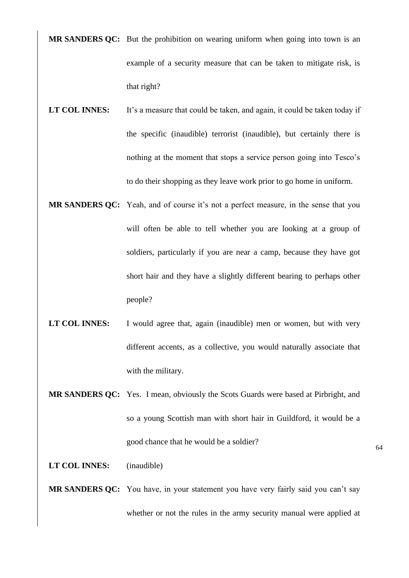**MR SANDERS QC:** But the prohibition on wearing uniform when going into town is an example of a security measure that can be taken to mitigate risk, is that right?

- LT COL INNES: It's a measure that could be taken, and again, it could be taken today if the specific (inaudible) terrorist (inaudible), but certainly there is nothing at the moment that stops a service person going into Tesco's to do their shopping as they leave work prior to go home in uniform.
- **MR SANDERS QC:** Yeah, and of course it's not a perfect measure, in the sense that you will often be able to tell whether you are looking at a group of soldiers, particularly if you are near a camp, because they have got short hair and they have a slightly different bearing to perhaps other people?
- LT COL INNES: I would agree that, again (inaudible) men or women, but with very different accents, as a collective, you would naturally associate that with the military.
- **MR SANDERS QC:** Yes. I mean, obviously the Scots Guards were based at Pirbright, and so a young Scottish man with short hair in Guildford, it would be a good chance that he would be a soldier?

64

## **LT COL INNES:** (inaudible)

**MR SANDERS QC:** You have, in your statement you have very fairly said you can't say whether or not the rules in the army security manual were applied at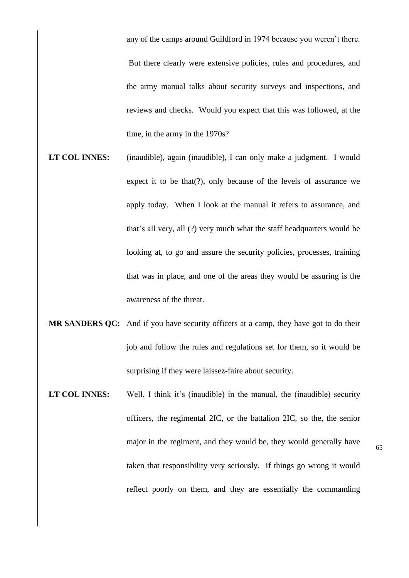any of the camps around Guildford in 1974 because you weren't there.

But there clearly were extensive policies, rules and procedures, and the army manual talks about security surveys and inspections, and reviews and checks. Would you expect that this was followed, at the time, in the army in the 1970s?

- **LT COL INNES:** (inaudible), again (inaudible), I can only make a judgment. I would expect it to be that(?), only because of the levels of assurance we apply today. When I look at the manual it refers to assurance, and that's all very, all (?) very much what the staff headquarters would be looking at, to go and assure the security policies, processes, training that was in place, and one of the areas they would be assuring is the awareness of the threat.
- **MR SANDERS QC:** And if you have security officers at a camp, they have got to do their job and follow the rules and regulations set for them, so it would be surprising if they were laissez-faire about security.
- **LT COL INNES:** Well, I think it's (inaudible) in the manual, the (inaudible) security officers, the regimental 2IC, or the battalion 2IC, so the, the senior major in the regiment, and they would be, they would generally have taken that responsibility very seriously. If things go wrong it would reflect poorly on them, and they are essentially the commanding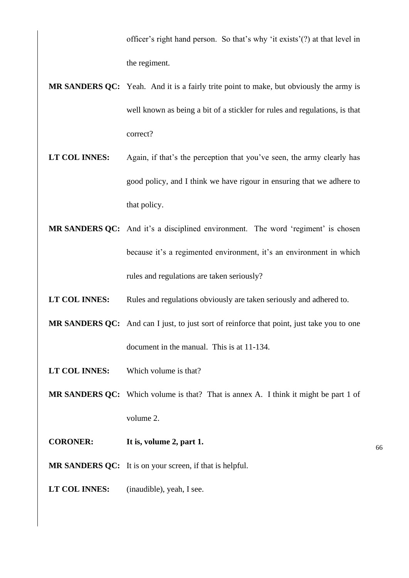officer's right hand person. So that's why 'it exists'(?) at that level in the regiment.

- **MR SANDERS QC:** Yeah. And it is a fairly trite point to make, but obviously the army is well known as being a bit of a stickler for rules and regulations, is that correct?
- **LT COL INNES:** Again, if that's the perception that you've seen, the army clearly has good policy, and I think we have rigour in ensuring that we adhere to that policy.
- **MR SANDERS QC:** And it's a disciplined environment. The word 'regiment' is chosen because it's a regimented environment, it's an environment in which rules and regulations are taken seriously?
- LT COL INNES: Rules and regulations obviously are taken seriously and adhered to.
- **MR SANDERS QC:** And can I just, to just sort of reinforce that point, just take you to one document in the manual. This is at 11-134.
- **LT COL INNES:** Which volume is that?
- **MR SANDERS QC:** Which volume is that? That is annex A. I think it might be part 1 of volume 2.
- **CORONER: It is, volume 2, part 1.**
- **MR SANDERS QC:** It is on your screen, if that is helpful.
- **LT COL INNES:** (inaudible), yeah, I see.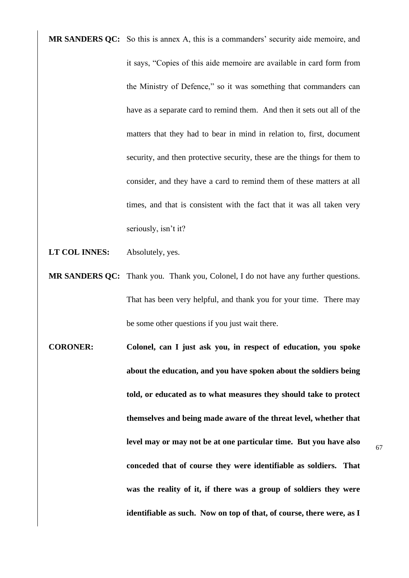**MR SANDERS QC:** So this is annex A, this is a commanders' security aide memoire, and it says, "Copies of this aide memoire are available in card form from the Ministry of Defence," so it was something that commanders can have as a separate card to remind them. And then it sets out all of the matters that they had to bear in mind in relation to, first, document security, and then protective security, these are the things for them to consider, and they have a card to remind them of these matters at all times, and that is consistent with the fact that it was all taken very seriously, isn't it?

- **LT COL INNES:** Absolutely, yes.
- **MR SANDERS QC:** Thank you. Thank you, Colonel, I do not have any further questions. That has been very helpful, and thank you for your time. There may be some other questions if you just wait there.
- **CORONER: Colonel, can I just ask you, in respect of education, you spoke about the education, and you have spoken about the soldiers being told, or educated as to what measures they should take to protect themselves and being made aware of the threat level, whether that level may or may not be at one particular time. But you have also conceded that of course they were identifiable as soldiers. That was the reality of it, if there was a group of soldiers they were identifiable as such. Now on top of that, of course, there were, as I**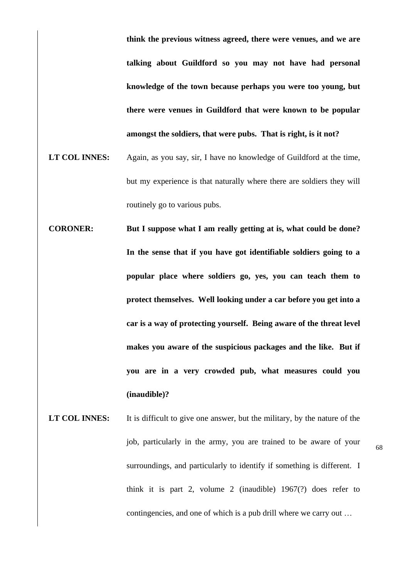**think the previous witness agreed, there were venues, and we are talking about Guildford so you may not have had personal knowledge of the town because perhaps you were too young, but there were venues in Guildford that were known to be popular amongst the soldiers, that were pubs. That is right, is it not?** 

- **LT COL INNES:** Again, as you say, sir, I have no knowledge of Guildford at the time, but my experience is that naturally where there are soldiers they will routinely go to various pubs.
- **CORONER: But I suppose what I am really getting at is, what could be done? In the sense that if you have got identifiable soldiers going to a popular place where soldiers go, yes, you can teach them to protect themselves. Well looking under a car before you get into a car is a way of protecting yourself. Being aware of the threat level makes you aware of the suspicious packages and the like. But if you are in a very crowded pub, what measures could you (inaudible)?**
- LT COL INNES: It is difficult to give one answer, but the military, by the nature of the job, particularly in the army, you are trained to be aware of your surroundings, and particularly to identify if something is different. I think it is part 2, volume 2 (inaudible) 1967(?) does refer to contingencies, and one of which is a pub drill where we carry out …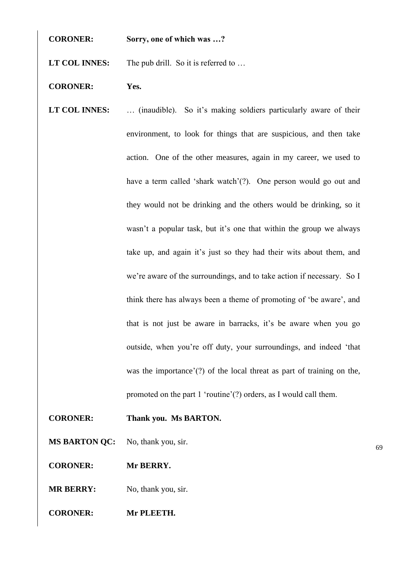**CORONER: Sorry, one of which was …?**

LT COL **INNES:** The pub drill. So it is referred to ...

- **CORONER: Yes.**
- LT COL INNES: ... (inaudible). So it's making soldiers particularly aware of their environment, to look for things that are suspicious, and then take action. One of the other measures, again in my career, we used to have a term called 'shark watch'(?). One person would go out and they would not be drinking and the others would be drinking, so it wasn't a popular task, but it's one that within the group we always take up, and again it's just so they had their wits about them, and we're aware of the surroundings, and to take action if necessary. So I think there has always been a theme of promoting of 'be aware', and that is not just be aware in barracks, it's be aware when you go outside, when you're off duty, your surroundings, and indeed 'that was the importance'(?) of the local threat as part of training on the, promoted on the part 1 'routine'(?) orders, as I would call them.
- **CORONER: Thank you. Ms BARTON.**
- **MS BARTON QC:** No, thank you, sir.
- **CORONER: Mr BERRY.**
- **MR BERRY:** No, thank you, sir.
- **CORONER: Mr PLEETH.**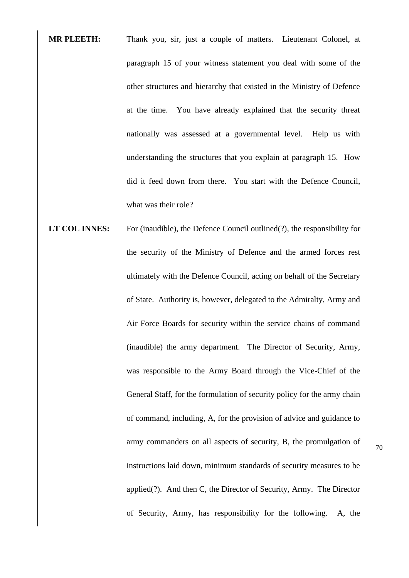- **MR PLEETH:** Thank you, sir, just a couple of matters. Lieutenant Colonel, at paragraph 15 of your witness statement you deal with some of the other structures and hierarchy that existed in the Ministry of Defence at the time. You have already explained that the security threat nationally was assessed at a governmental level. Help us with understanding the structures that you explain at paragraph 15. How did it feed down from there. You start with the Defence Council, what was their role?
- **LT COL INNES:** For (inaudible), the Defence Council outlined(?), the responsibility for the security of the Ministry of Defence and the armed forces rest ultimately with the Defence Council, acting on behalf of the Secretary of State. Authority is, however, delegated to the Admiralty, Army and Air Force Boards for security within the service chains of command (inaudible) the army department. The Director of Security, Army, was responsible to the Army Board through the Vice-Chief of the General Staff, for the formulation of security policy for the army chain of command, including, A, for the provision of advice and guidance to army commanders on all aspects of security, B, the promulgation of instructions laid down, minimum standards of security measures to be applied(?). And then C, the Director of Security, Army. The Director of Security, Army, has responsibility for the following. A, the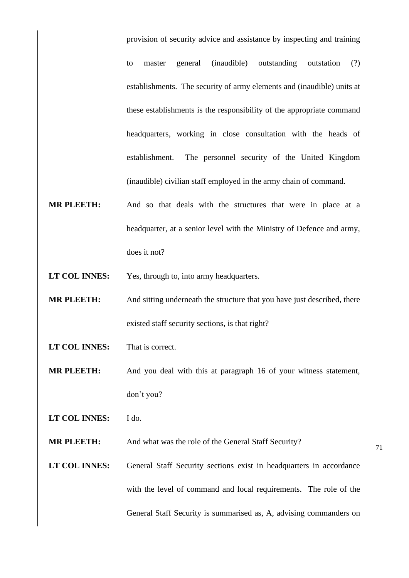provision of security advice and assistance by inspecting and training to master general (inaudible) outstanding outstation (?) establishments. The security of army elements and (inaudible) units at these establishments is the responsibility of the appropriate command headquarters, working in close consultation with the heads of establishment. The personnel security of the United Kingdom (inaudible) civilian staff employed in the army chain of command.

- **MR PLEETH:** And so that deals with the structures that were in place at a headquarter, at a senior level with the Ministry of Defence and army, does it not?
- **LT COL INNES:** Yes, through to, into army headquarters.
- **MR PLEETH:** And sitting underneath the structure that you have just described, there existed staff security sections, is that right?
- **LT COL INNES:** That is correct.
- **MR PLEETH:** And you deal with this at paragraph 16 of your witness statement, don't you?
- **LT COL INNES:** I do.

**MR PLEETH:** And what was the role of the General Staff Security?

LT COL INNES: General Staff Security sections exist in headquarters in accordance with the level of command and local requirements. The role of the General Staff Security is summarised as, A, advising commanders on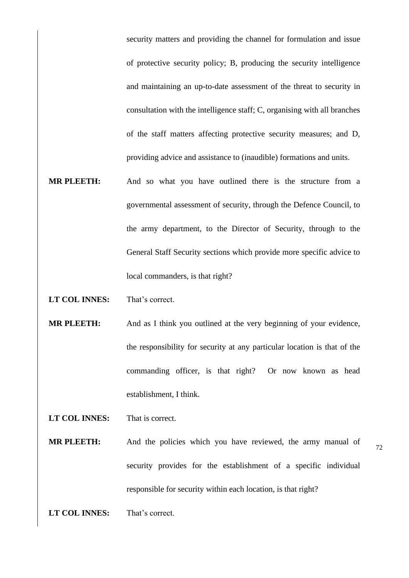security matters and providing the channel for formulation and issue of protective security policy; B, producing the security intelligence and maintaining an up-to-date assessment of the threat to security in consultation with the intelligence staff; C, organising with all branches of the staff matters affecting protective security measures; and D, providing advice and assistance to (inaudible) formations and units.

- **MR PLEETH:** And so what you have outlined there is the structure from a governmental assessment of security, through the Defence Council, to the army department, to the Director of Security, through to the General Staff Security sections which provide more specific advice to local commanders, is that right?
- **LT COL INNES:** That's correct.
- **MR PLEETH:** And as I think you outlined at the very beginning of your evidence, the responsibility for security at any particular location is that of the commanding officer, is that right? Or now known as head establishment, I think.
- **LT COL INNES:** That is correct.
- **MR PLEETH:** And the policies which you have reviewed, the army manual of security provides for the establishment of a specific individual responsible for security within each location, is that right?
- **LT COL INNES:** That's correct.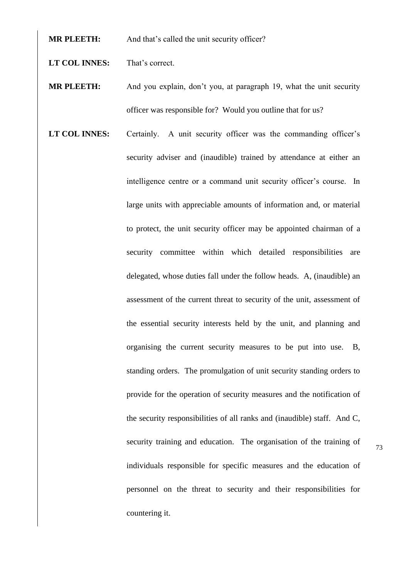**MR PLEETH:** And that's called the unit security officer?

**LT COL INNES:** That's correct.

**MR PLEETH:** And you explain, don't you, at paragraph 19, what the unit security officer was responsible for? Would you outline that for us?

LT COL INNES: Certainly. A unit security officer was the commanding officer's security adviser and (inaudible) trained by attendance at either an intelligence centre or a command unit security officer's course. In large units with appreciable amounts of information and, or material to protect, the unit security officer may be appointed chairman of a security committee within which detailed responsibilities are delegated, whose duties fall under the follow heads. A, (inaudible) an assessment of the current threat to security of the unit, assessment of the essential security interests held by the unit, and planning and organising the current security measures to be put into use. B, standing orders. The promulgation of unit security standing orders to provide for the operation of security measures and the notification of the security responsibilities of all ranks and (inaudible) staff. And C, security training and education. The organisation of the training of individuals responsible for specific measures and the education of personnel on the threat to security and their responsibilities for countering it.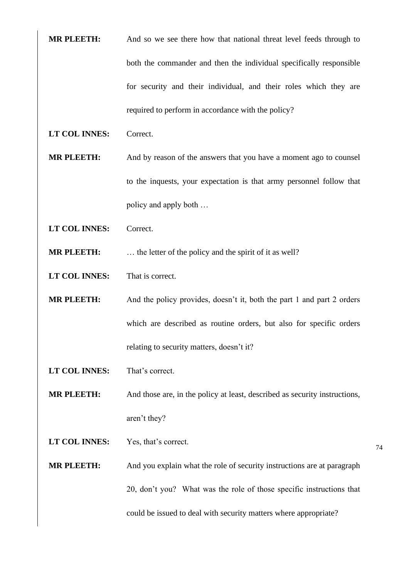- **MR PLEETH:** And so we see there how that national threat level feeds through to both the commander and then the individual specifically responsible for security and their individual, and their roles which they are required to perform in accordance with the policy?
- **LT COL INNES:** Correct.
- **MR PLEETH:** And by reason of the answers that you have a moment ago to counsel to the inquests, your expectation is that army personnel follow that policy and apply both …
- **LT COL INNES:** Correct.
- **MR PLEETH:** ... the letter of the policy and the spirit of it as well?
- **LT COL INNES:** That is correct.
- **MR PLEETH:** And the policy provides, doesn't it, both the part 1 and part 2 orders which are described as routine orders, but also for specific orders relating to security matters, doesn't it?
- **LT COL INNES:** That's correct.
- **MR PLEETH:** And those are, in the policy at least, described as security instructions, aren't they?
- **LT COL INNES:** Yes, that's correct.
- **MR PLEETH:** And you explain what the role of security instructions are at paragraph 20, don't you? What was the role of those specific instructions that could be issued to deal with security matters where appropriate?
- 74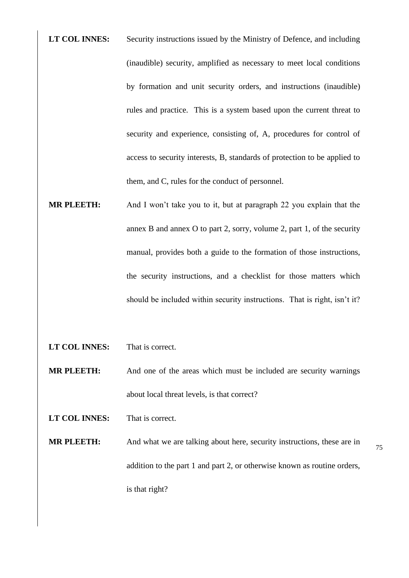**LT COL INNES:** Security instructions issued by the Ministry of Defence, and including (inaudible) security, amplified as necessary to meet local conditions by formation and unit security orders, and instructions (inaudible) rules and practice. This is a system based upon the current threat to security and experience, consisting of, A, procedures for control of access to security interests, B, standards of protection to be applied to them, and C, rules for the conduct of personnel.

- **MR PLEETH:** And I won't take you to it, but at paragraph 22 you explain that the annex B and annex O to part 2, sorry, volume 2, part 1, of the security manual, provides both a guide to the formation of those instructions, the security instructions, and a checklist for those matters which should be included within security instructions. That is right, isn't it?
- **LT COL INNES:** That is correct.

**MR PLEETH:** And one of the areas which must be included are security warnings about local threat levels, is that correct?

**LT COL INNES:** That is correct.

**MR PLEETH:** And what we are talking about here, security instructions, these are in addition to the part 1 and part 2, or otherwise known as routine orders, is that right?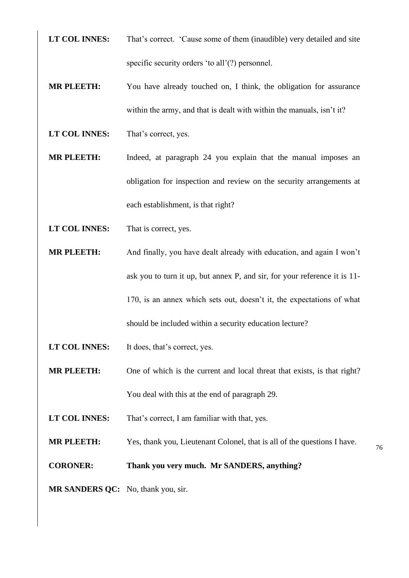- **LT COL INNES:** That's correct. 'Cause some of them (inaudible) very detailed and site specific security orders 'to all'(?) personnel.
- **MR PLEETH:** You have already touched on, I think, the obligation for assurance within the army, and that is dealt with within the manuals, isn't it?
- LT COL **INNES:** That's correct, yes.
- **MR PLEETH:** Indeed, at paragraph 24 you explain that the manual imposes an obligation for inspection and review on the security arrangements at each establishment, is that right?
- **LT COL INNES:** That is correct, yes.
- **MR PLEETH:** And finally, you have dealt already with education, and again I won't ask you to turn it up, but annex P, and sir, for your reference it is 11- 170, is an annex which sets out, doesn't it, the expectations of what should be included within a security education lecture?
- **LT COL INNES:** It does, that's correct, yes.
- **MR PLEETH:** One of which is the current and local threat that exists, is that right? You deal with this at the end of paragraph 29.
- **LT COL INNES:** That's correct, I am familiar with that, yes.
- **MR PLEETH:** Yes, thank you, Lieutenant Colonel, that is all of the questions I have.
- **CORONER: Thank you very much. Mr SANDERS, anything?**
- **MR SANDERS QC:** No, thank you, sir.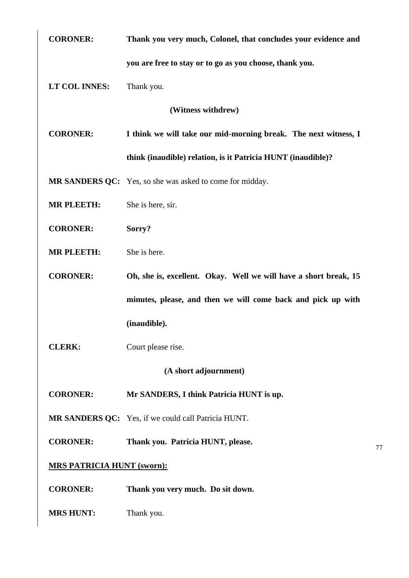| <b>CORONER:</b>                   | Thank you very much, Colonel, that concludes your evidence and   |  |
|-----------------------------------|------------------------------------------------------------------|--|
|                                   | you are free to stay or to go as you choose, thank you.          |  |
| LT COL INNES:                     | Thank you.                                                       |  |
| (Witness withdrew)                |                                                                  |  |
| <b>CORONER:</b>                   | I think we will take our mid-morning break. The next witness, I  |  |
|                                   | think (inaudible) relation, is it Patricia HUNT (inaudible)?     |  |
|                                   | MR SANDERS QC: Yes, so she was asked to come for midday.         |  |
| <b>MR PLEETH:</b>                 | She is here, sir.                                                |  |
| <b>CORONER:</b>                   | Sorry?                                                           |  |
| <b>MR PLEETH:</b>                 | She is here.                                                     |  |
| <b>CORONER:</b>                   | Oh, she is, excellent. Okay. Well we will have a short break, 15 |  |
|                                   | minutes, please, and then we will come back and pick up with     |  |
|                                   | (inaudible).                                                     |  |
| <b>CLERK:</b>                     | Court please rise.                                               |  |
| (A short adjournment)             |                                                                  |  |
| <b>CORONER:</b>                   | Mr SANDERS, I think Patricia HUNT is up.                         |  |
|                                   | MR SANDERS QC: Yes, if we could call Patricia HUNT.              |  |
| <b>CORONER:</b>                   | Thank you. Patricia HUNT, please.                                |  |
| <b>MRS PATRICIA HUNT (sworn):</b> |                                                                  |  |
| <b>CORONER:</b>                   | Thank you very much. Do sit down.                                |  |
| <b>MRS HUNT:</b>                  | Thank you.                                                       |  |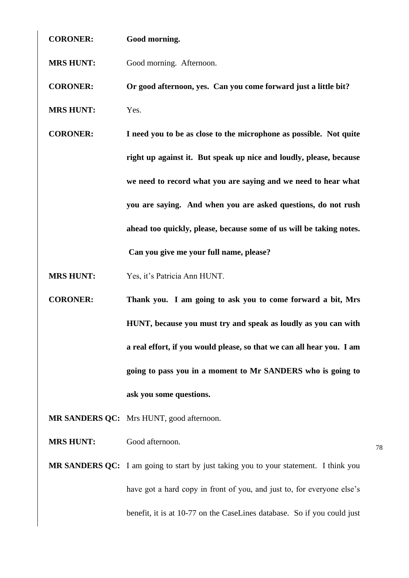**CORONER: Good morning.**

**MRS HUNT:** Good morning. Afternoon.

**CORONER: Or good afternoon, yes. Can you come forward just a little bit?**

- **MRS HUNT:** Yes.
- **CORONER: I need you to be as close to the microphone as possible. Not quite right up against it. But speak up nice and loudly, please, because we need to record what you are saying and we need to hear what you are saying. And when you are asked questions, do not rush ahead too quickly, please, because some of us will be taking notes. Can you give me your full name, please?**
- **MRS HUNT:** Yes, it's Patricia Ann HUNT.
- **CORONER: Thank you. I am going to ask you to come forward a bit, Mrs HUNT, because you must try and speak as loudly as you can with a real effort, if you would please, so that we can all hear you. I am going to pass you in a moment to Mr SANDERS who is going to ask you some questions.**

**MR SANDERS QC:** Mrs HUNT, good afternoon.

**MRS HUNT:** Good afternoon.

**MR SANDERS QC:** I am going to start by just taking you to your statement. I think you have got a hard copy in front of you, and just to, for everyone else's benefit, it is at 10-77 on the CaseLines database. So if you could just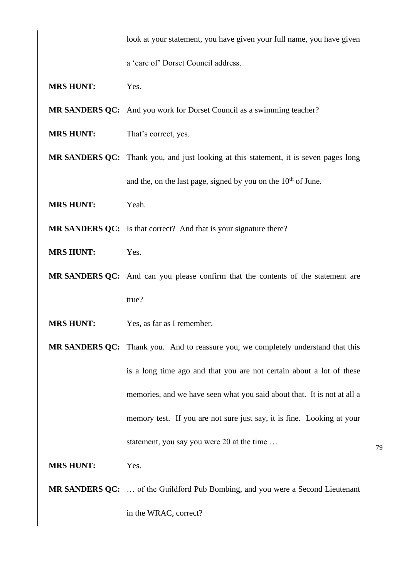look at your statement, you have given your full name, you have given

a 'care of' Dorset Council address.

- **MRS HUNT:** Yes.
- **MR SANDERS QC:** And you work for Dorset Council as a swimming teacher?
- **MRS HUNT:** That's correct, yes.
- **MR SANDERS QC:** Thank you, and just looking at this statement, it is seven pages long and the, on the last page, signed by you on the  $10<sup>th</sup>$  of June.
- **MRS HUNT:** Yeah.

**MR SANDERS QC:** Is that correct? And that is your signature there?

- **MRS HUNT:** Yes.
- **MR SANDERS QC:** And can you please confirm that the contents of the statement are true?
- **MRS HUNT:** Yes, as far as I remember.
- **MR SANDERS QC:** Thank you. And to reassure you, we completely understand that this is a long time ago and that you are not certain about a lot of these memories, and we have seen what you said about that. It is not at all a memory test. If you are not sure just say, it is fine. Looking at your statement, you say you were 20 at the time …

**MRS HUNT:** Yes.

**MR SANDERS QC:** … of the Guildford Pub Bombing, and you were a Second Lieutenant in the WRAC, correct?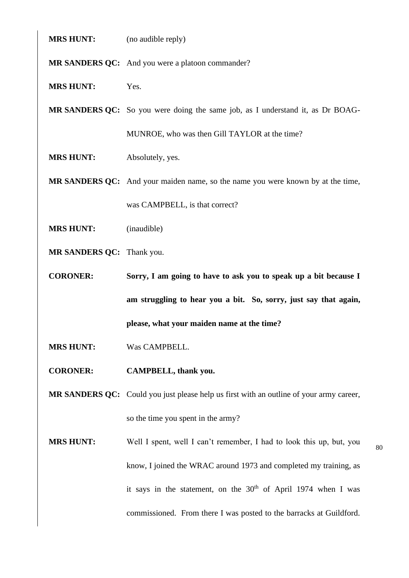| <b>MRS HUNT:</b> | (no audible reply) |
|------------------|--------------------|
|------------------|--------------------|

**MR SANDERS QC:** And you were a platoon commander?

**MRS HUNT:** Yes.

**MR SANDERS QC:** So you were doing the same job, as I understand it, as Dr BOAG-MUNROE, who was then Gill TAYLOR at the time?

**MRS HUNT:** Absolutely, yes.

**MR SANDERS QC:** And your maiden name, so the name you were known by at the time, was CAMPBELL, is that correct?

- **MRS HUNT:** (inaudible)
- **MR SANDERS QC:** Thank you.

**CORONER: Sorry, I am going to have to ask you to speak up a bit because I am struggling to hear you a bit. So, sorry, just say that again, please, what your maiden name at the time?**

**MRS HUNT:** Was CAMPBELL.

**CORONER: CAMPBELL, thank you.**

**MR SANDERS QC:** Could you just please help us first with an outline of your army career, so the time you spent in the army?

**MRS HUNT:** Well I spent, well I can't remember, I had to look this up, but, you know, I joined the WRAC around 1973 and completed my training, as it says in the statement, on the  $30<sup>th</sup>$  of April 1974 when I was commissioned. From there I was posted to the barracks at Guildford.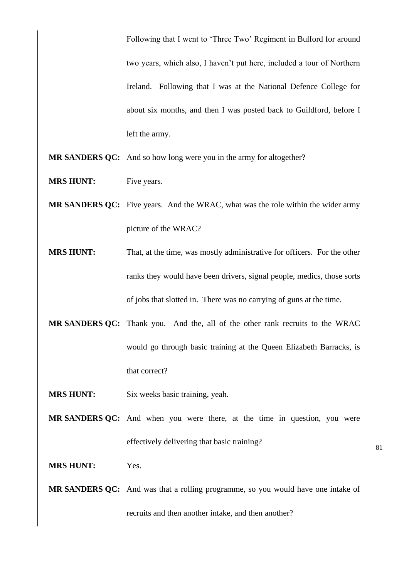Following that I went to 'Three Two' Regiment in Bulford for around two years, which also, I haven't put here, included a tour of Northern Ireland. Following that I was at the National Defence College for about six months, and then I was posted back to Guildford, before I left the army.

- **MR SANDERS QC:** And so how long were you in the army for altogether?
- **MRS HUNT:** Five years.
- **MR SANDERS QC:** Five years. And the WRAC, what was the role within the wider army picture of the WRAC?
- **MRS HUNT:** That, at the time, was mostly administrative for officers. For the other ranks they would have been drivers, signal people, medics, those sorts of jobs that slotted in. There was no carrying of guns at the time.
- **MR SANDERS QC:** Thank you. And the, all of the other rank recruits to the WRAC would go through basic training at the Queen Elizabeth Barracks, is that correct?
- **MRS HUNT:** Six weeks basic training, yeah.
- **MR SANDERS QC:** And when you were there, at the time in question, you were effectively delivering that basic training?

**MRS HUNT:** Yes.

**MR SANDERS QC:** And was that a rolling programme, so you would have one intake of recruits and then another intake, and then another?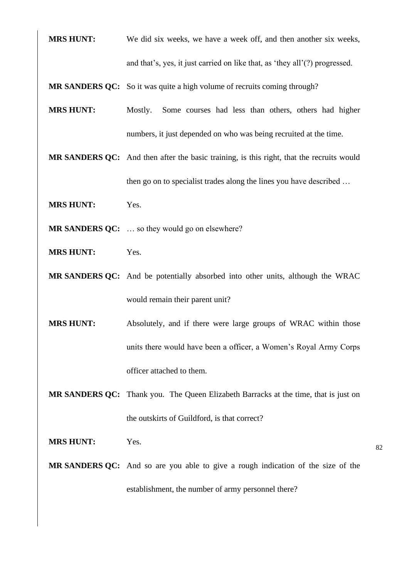**MRS HUNT:** We did six weeks, we have a week off, and then another six weeks, and that's, yes, it just carried on like that, as 'they all'(?) progressed.

**MR SANDERS QC:** So it was quite a high volume of recruits coming through?

- **MRS HUNT:** Mostly. Some courses had less than others, others had higher numbers, it just depended on who was being recruited at the time.
- **MR SANDERS QC:** And then after the basic training, is this right, that the recruits would then go on to specialist trades along the lines you have described …
- **MRS HUNT:** Yes.
- **MR SANDERS QC:** ... so they would go on elsewhere?
- **MRS HUNT:** Yes.
- **MR SANDERS QC:** And be potentially absorbed into other units, although the WRAC would remain their parent unit?
- **MRS HUNT:** Absolutely, and if there were large groups of WRAC within those units there would have been a officer, a Women's Royal Army Corps officer attached to them.
- **MR SANDERS QC:** Thank you. The Queen Elizabeth Barracks at the time, that is just on the outskirts of Guildford, is that correct?
- **MRS HUNT:** Yes.
- **MR SANDERS QC:** And so are you able to give a rough indication of the size of the establishment, the number of army personnel there?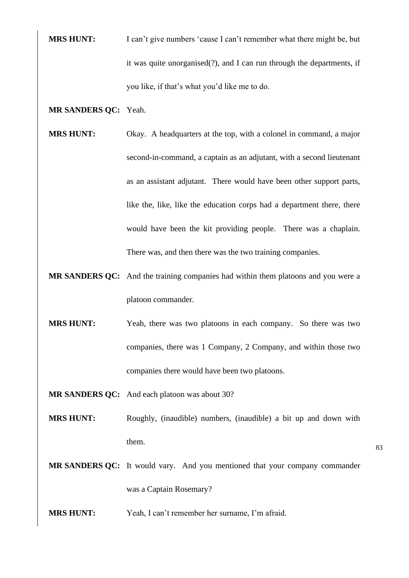**MRS HUNT:** I can't give numbers 'cause I can't remember what there might be, but it was quite unorganised(?), and I can run through the departments, if you like, if that's what you'd like me to do.

### **MR SANDERS QC:** Yeah.

- **MRS HUNT:** Okay. A headquarters at the top, with a colonel in command, a major second-in-command, a captain as an adjutant, with a second lieutenant as an assistant adjutant. There would have been other support parts, like the, like, like the education corps had a department there, there would have been the kit providing people. There was a chaplain. There was, and then there was the two training companies.
- **MR SANDERS QC:** And the training companies had within them platoons and you were a platoon commander.
- **MRS HUNT:** Yeah, there was two platoons in each company. So there was two companies, there was 1 Company, 2 Company, and within those two companies there would have been two platoons.
- **MR SANDERS QC:** And each platoon was about 30?
- **MRS HUNT:** Roughly, (inaudible) numbers, (inaudible) a bit up and down with them.
- **MR SANDERS QC:** It would vary. And you mentioned that your company commander was a Captain Rosemary?
- **MRS HUNT:** Yeah, I can't remember her surname, I'm afraid.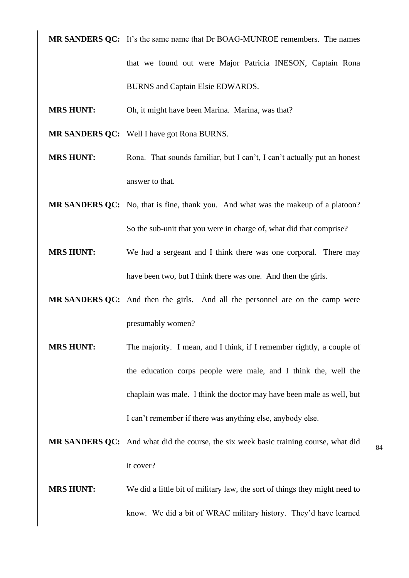**MR SANDERS QC:** It's the same name that Dr BOAG-MUNROE remembers. The names that we found out were Major Patricia INESON, Captain Rona BURNS and Captain Elsie EDWARDS.

- **MRS HUNT:** Oh, it might have been Marina. Marina, was that?
- **MR SANDERS QC:** Well I have got Rona BURNS.
- **MRS HUNT:** Rona. That sounds familiar, but I can't, I can't actually put an honest answer to that.
- **MR SANDERS QC:** No, that is fine, thank you. And what was the makeup of a platoon? So the sub-unit that you were in charge of, what did that comprise?
- **MRS HUNT:** We had a sergeant and I think there was one corporal. There may have been two, but I think there was one. And then the girls.
- **MR SANDERS QC:** And then the girls. And all the personnel are on the camp were presumably women?
- **MRS HUNT:** The majority. I mean, and I think, if I remember rightly, a couple of the education corps people were male, and I think the, well the chaplain was male. I think the doctor may have been male as well, but I can't remember if there was anything else, anybody else.
- **MR SANDERS QC:** And what did the course, the six week basic training course, what did it cover?
- **MRS HUNT:** We did a little bit of military law, the sort of things they might need to know. We did a bit of WRAC military history. They'd have learned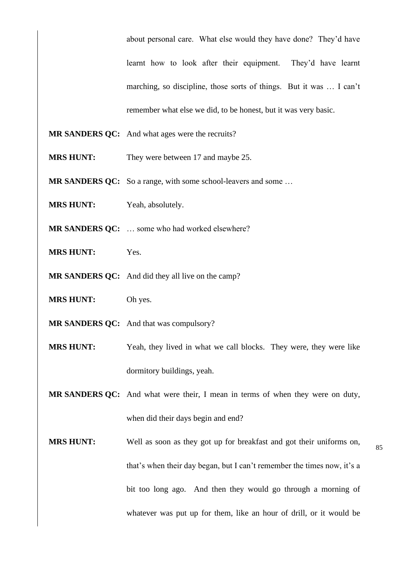about personal care. What else would they have done? They'd have learnt how to look after their equipment. They'd have learnt marching, so discipline, those sorts of things. But it was … I can't remember what else we did, to be honest, but it was very basic.

- **MR SANDERS QC:** And what ages were the recruits?
- **MRS HUNT:** They were between 17 and maybe 25.
- **MR SANDERS QC:** So a range, with some school-leavers and some ...
- **MRS HUNT:** Yeah, absolutely.
- **MR SANDERS QC:** … some who had worked elsewhere?
- **MRS HUNT:** Yes.
- **MR SANDERS QC:** And did they all live on the camp?
- **MRS HUNT:** Oh yes.
- **MR SANDERS QC:** And that was compulsory?
- **MRS HUNT:** Yeah, they lived in what we call blocks. They were, they were like dormitory buildings, yeah.
- **MR SANDERS QC:** And what were their, I mean in terms of when they were on duty, when did their days begin and end?
- **MRS HUNT:** Well as soon as they got up for breakfast and got their uniforms on, that's when their day began, but I can't remember the times now, it's a bit too long ago. And then they would go through a morning of whatever was put up for them, like an hour of drill, or it would be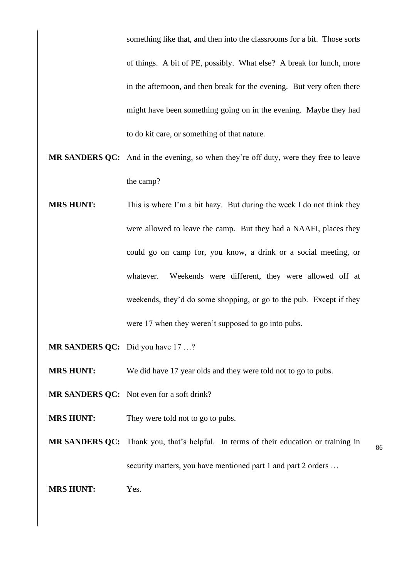something like that, and then into the classrooms for a bit. Those sorts of things. A bit of PE, possibly. What else? A break for lunch, more in the afternoon, and then break for the evening. But very often there might have been something going on in the evening. Maybe they had to do kit care, or something of that nature.

- **MR SANDERS QC:** And in the evening, so when they're off duty, were they free to leave the camp?
- **MRS HUNT:** This is where I'm a bit hazy. But during the week I do not think they were allowed to leave the camp. But they had a NAAFI, places they could go on camp for, you know, a drink or a social meeting, or whatever. Weekends were different, they were allowed off at weekends, they'd do some shopping, or go to the pub. Except if they were 17 when they weren't supposed to go into pubs.
- **MR SANDERS QC:** Did you have 17 …?
- **MRS HUNT:** We did have 17 year olds and they were told not to go to pubs.
- **MR SANDERS QC:** Not even for a soft drink?
- **MRS HUNT:** They were told not to go to pubs.
- 86 **MR SANDERS QC:** Thank you, that's helpful. In terms of their education or training in security matters, you have mentioned part 1 and part 2 orders ...
- **MRS HUNT:** Yes.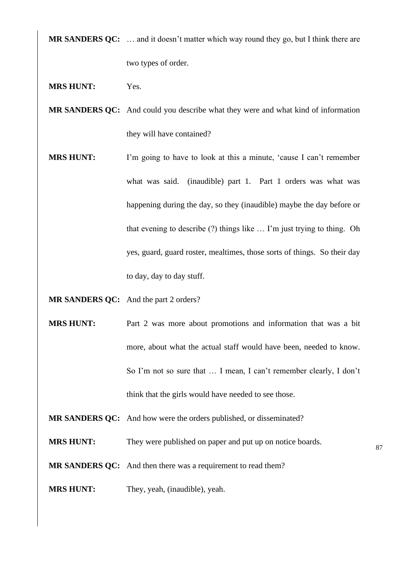**MR SANDERS QC:** … and it doesn't matter which way round they go, but I think there are two types of order.

- **MRS HUNT:** Yes.
- **MR SANDERS QC:** And could you describe what they were and what kind of information they will have contained?
- **MRS HUNT:** I'm going to have to look at this a minute, 'cause I can't remember what was said. (inaudible) part 1. Part 1 orders was what was happening during the day, so they (inaudible) maybe the day before or that evening to describe (?) things like … I'm just trying to thing. Oh yes, guard, guard roster, mealtimes, those sorts of things. So their day to day, day to day stuff.

**MR SANDERS QC:** And the part 2 orders?

- **MRS HUNT:** Part 2 was more about promotions and information that was a bit more, about what the actual staff would have been, needed to know. So I'm not so sure that … I mean, I can't remember clearly, I don't think that the girls would have needed to see those.
- **MR SANDERS QC:** And how were the orders published, or disseminated?
- **MRS HUNT:** They were published on paper and put up on notice boards.

- **MR SANDERS QC:** And then there was a requirement to read them?
- **MRS HUNT:** They, yeah, (inaudible), yeah.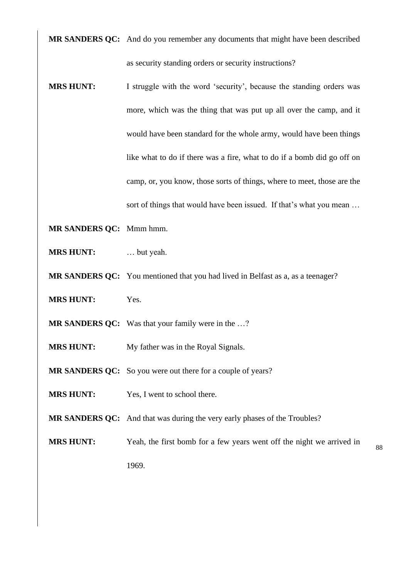**MR SANDERS QC:** And do you remember any documents that might have been described as security standing orders or security instructions?

- **MRS HUNT:** I struggle with the word 'security', because the standing orders was more, which was the thing that was put up all over the camp, and it would have been standard for the whole army, would have been things like what to do if there was a fire, what to do if a bomb did go off on camp, or, you know, those sorts of things, where to meet, those are the sort of things that would have been issued. If that's what you mean …
- **MR SANDERS QC:** Mmm hmm.
- **MRS HUNT:** … but yeah.
- **MR SANDERS QC:** You mentioned that you had lived in Belfast as a, as a teenager?
- **MRS HUNT:** Yes.
- **MR SANDERS QC:** Was that your family were in the …?
- **MRS HUNT:** My father was in the Royal Signals.
- **MR SANDERS QC:** So you were out there for a couple of years?
- **MRS HUNT:** Yes, I went to school there.
- **MR SANDERS QC:** And that was during the very early phases of the Troubles?
- 88 **MRS HUNT:** Yeah, the first bomb for a few years went off the night we arrived in 1969.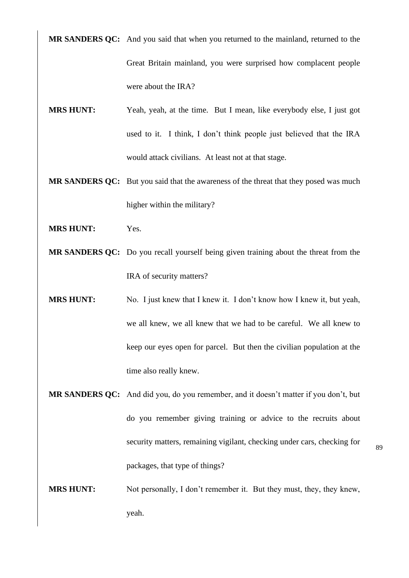**MR SANDERS QC:** And you said that when you returned to the mainland, returned to the Great Britain mainland, you were surprised how complacent people were about the IRA?

- **MRS HUNT:** Yeah, yeah, at the time. But I mean, like everybody else, I just got used to it. I think, I don't think people just believed that the IRA would attack civilians. At least not at that stage.
- **MR SANDERS QC:** But you said that the awareness of the threat that they posed was much higher within the military?
- **MRS HUNT:** Yes.
- **MR SANDERS QC:** Do you recall yourself being given training about the threat from the IRA of security matters?
- **MRS HUNT:** No. I just knew that I knew it. I don't know how I knew it, but yeah, we all knew, we all knew that we had to be careful. We all knew to keep our eyes open for parcel. But then the civilian population at the time also really knew.
- **MR SANDERS QC:** And did you, do you remember, and it doesn't matter if you don't, but do you remember giving training or advice to the recruits about security matters, remaining vigilant, checking under cars, checking for packages, that type of things?

89

**MRS HUNT:** Not personally, I don't remember it. But they must, they, they knew, yeah.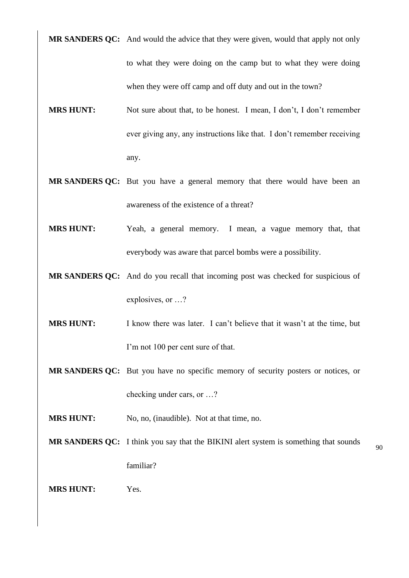**MR SANDERS QC:** And would the advice that they were given, would that apply not only to what they were doing on the camp but to what they were doing when they were off camp and off duty and out in the town?

- **MRS HUNT:** Not sure about that, to be honest. I mean, I don't, I don't remember ever giving any, any instructions like that. I don't remember receiving any.
- **MR SANDERS QC:** But you have a general memory that there would have been an awareness of the existence of a threat?
- **MRS HUNT:** Yeah, a general memory. I mean, a vague memory that, that everybody was aware that parcel bombs were a possibility.
- **MR SANDERS QC:** And do you recall that incoming post was checked for suspicious of explosives, or …?
- **MRS HUNT:** I know there was later. I can't believe that it wasn't at the time, but I'm not 100 per cent sure of that.
- **MR SANDERS QC:** But you have no specific memory of security posters or notices, or checking under cars, or …?
- **MRS HUNT:** No, no, (inaudible). Not at that time, no.
- **MR SANDERS QC:** I think you say that the BIKINI alert system is something that sounds familiar?

**MRS HUNT:** Yes.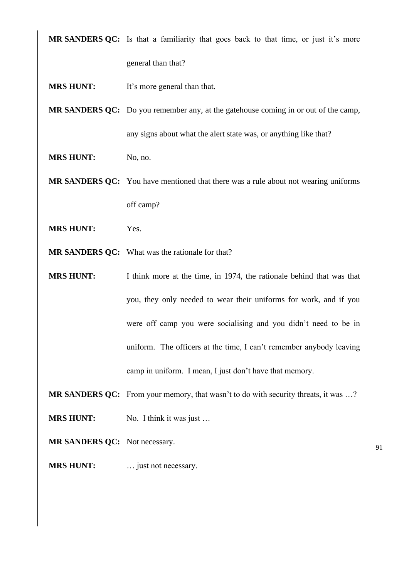**MR SANDERS QC:** Is that a familiarity that goes back to that time, or just it's more

general than that?

**MRS HUNT:** It's more general than that.

**MR SANDERS QC:** Do you remember any, at the gatehouse coming in or out of the camp, any signs about what the alert state was, or anything like that?

**MRS HUNT:** No, no.

**MR SANDERS QC:** You have mentioned that there was a rule about not wearing uniforms off camp?

- **MRS HUNT:** Yes.
- **MR SANDERS QC:** What was the rationale for that?

**MRS HUNT:** I think more at the time, in 1974, the rationale behind that was that you, they only needed to wear their uniforms for work, and if you were off camp you were socialising and you didn't need to be in uniform. The officers at the time, I can't remember anybody leaving camp in uniform. I mean, I just don't have that memory.

**MR SANDERS QC:** From your memory, that wasn't to do with security threats, it was …?

**MRS HUNT:** No. I think it was just ...

**MR SANDERS QC:** Not necessary.

**MRS HUNT:** ... just not necessary.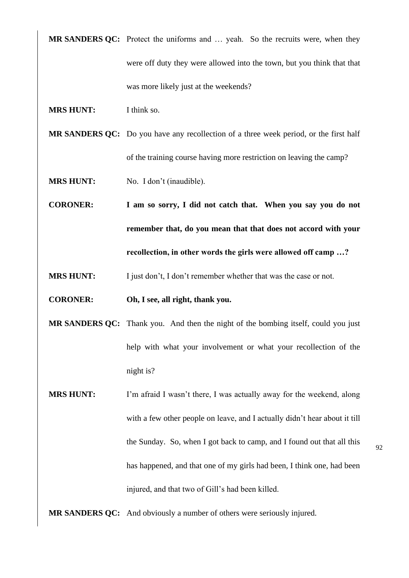**MR SANDERS QC:** Protect the uniforms and ... yeah. So the recruits were, when they were off duty they were allowed into the town, but you think that that was more likely just at the weekends?

- **MRS HUNT:** I think so.
- **MR SANDERS QC:** Do you have any recollection of a three week period, or the first half of the training course having more restriction on leaving the camp?
- **MRS HUNT:** No. I don't (inaudible).
- **CORONER: I am so sorry, I did not catch that. When you say you do not remember that, do you mean that that does not accord with your recollection, in other words the girls were allowed off camp …?**
- **MRS HUNT:** I just don't, I don't remember whether that was the case or not.
- **CORONER: Oh, I see, all right, thank you.**
- **MR SANDERS QC:** Thank you. And then the night of the bombing itself, could you just help with what your involvement or what your recollection of the night is?
- **MRS HUNT:** I'm afraid I wasn't there, I was actually away for the weekend, along with a few other people on leave, and I actually didn't hear about it till the Sunday. So, when I got back to camp, and I found out that all this has happened, and that one of my girls had been, I think one, had been injured, and that two of Gill's had been killed.
- **MR SANDERS QC:** And obviously a number of others were seriously injured.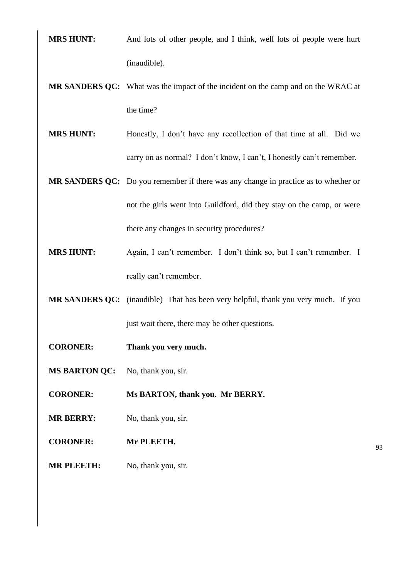- **MRS HUNT:** And lots of other people, and I think, well lots of people were hurt (inaudible).
- **MR SANDERS QC:** What was the impact of the incident on the camp and on the WRAC at the time?
- **MRS HUNT:** Honestly, I don't have any recollection of that time at all. Did we carry on as normal? I don't know, I can't, I honestly can't remember.
- **MR SANDERS QC:** Do you remember if there was any change in practice as to whether or not the girls went into Guildford, did they stay on the camp, or were there any changes in security procedures?
- **MRS HUNT:** Again, I can't remember. I don't think so, but I can't remember. I really can't remember.
- **MR SANDERS QC:** (inaudible) That has been very helpful, thank you very much. If you just wait there, there may be other questions.
- **CORONER: Thank you very much.**
- **MS BARTON QC:** No, thank you, sir.
- **CORONER: Ms BARTON, thank you. Mr BERRY.**
- **MR BERRY:** No, thank you, sir.
- **CORONER: Mr PLEETH.**
- **MR PLEETH:** No, thank you, sir.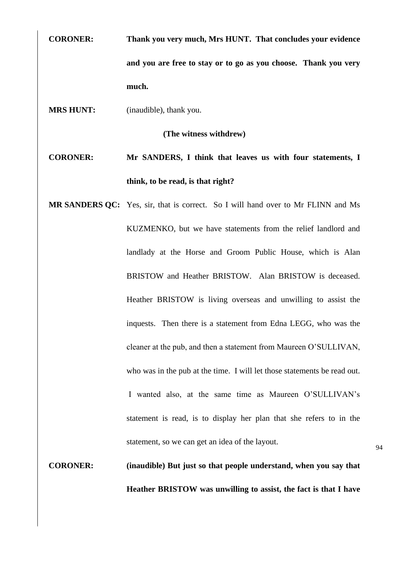**CORONER: Thank you very much, Mrs HUNT. That concludes your evidence and you are free to stay or to go as you choose. Thank you very much.**

**MRS HUNT:** (inaudible), thank you.

**(The witness withdrew)**

**CORONER: Mr SANDERS, I think that leaves us with four statements, I think, to be read, is that right?**

**MR SANDERS QC:** Yes, sir, that is correct. So I will hand over to Mr FLINN and Ms KUZMENKO, but we have statements from the relief landlord and landlady at the Horse and Groom Public House, which is Alan BRISTOW and Heather BRISTOW. Alan BRISTOW is deceased. Heather BRISTOW is living overseas and unwilling to assist the inquests. Then there is a statement from Edna LEGG, who was the cleaner at the pub, and then a statement from Maureen O'SULLIVAN, who was in the pub at the time. I will let those statements be read out. I wanted also, at the same time as Maureen O'SULLIVAN's statement is read, is to display her plan that she refers to in the statement, so we can get an idea of the layout.

**CORONER: (inaudible) But just so that people understand, when you say that Heather BRISTOW was unwilling to assist, the fact is that I have**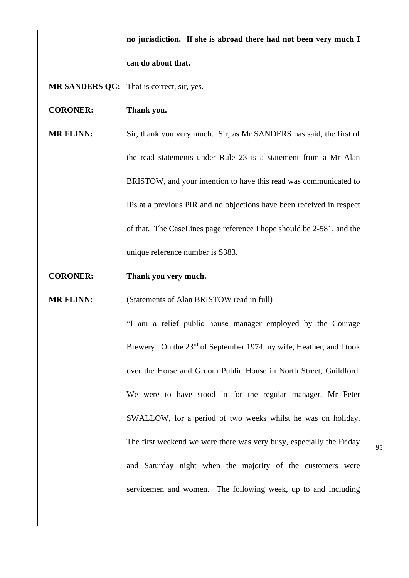## **no jurisdiction. If she is abroad there had not been very much I can do about that.**

**MR SANDERS QC:** That is correct, sir, yes.

**CORONER: Thank you.**

**MR FLINN:** Sir, thank you very much. Sir, as Mr SANDERS has said, the first of the read statements under Rule 23 is a statement from a Mr Alan BRISTOW, and your intention to have this read was communicated to IPs at a previous PIR and no objections have been received in respect of that. The CaseLines page reference I hope should be 2-581, and the unique reference number is S383.

**CORONER: Thank you very much.**

**MR FLINN:** (Statements of Alan BRISTOW read in full)

"I am a relief public house manager employed by the Courage Brewery. On the 23<sup>rd</sup> of September 1974 my wife, Heather, and I took over the Horse and Groom Public House in North Street, Guildford. We were to have stood in for the regular manager, Mr Peter SWALLOW, for a period of two weeks whilst he was on holiday. The first weekend we were there was very busy, especially the Friday and Saturday night when the majority of the customers were servicemen and women. The following week, up to and including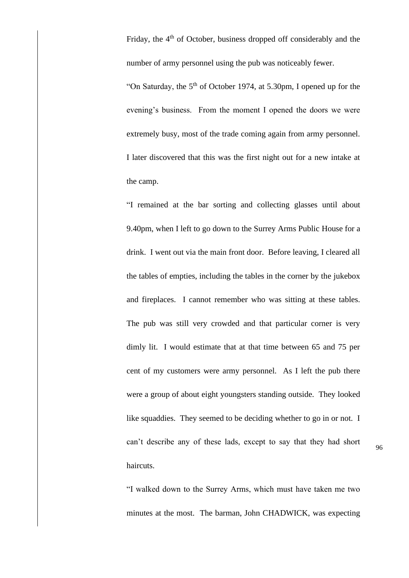Friday, the 4<sup>th</sup> of October, business dropped off considerably and the number of army personnel using the pub was noticeably fewer.

"On Saturday, the 5<sup>th</sup> of October 1974, at 5.30pm, I opened up for the evening's business. From the moment I opened the doors we were extremely busy, most of the trade coming again from army personnel. I later discovered that this was the first night out for a new intake at the camp.

"I remained at the bar sorting and collecting glasses until about 9.40pm, when I left to go down to the Surrey Arms Public House for a drink. I went out via the main front door. Before leaving, I cleared all the tables of empties, including the tables in the corner by the jukebox and fireplaces. I cannot remember who was sitting at these tables. The pub was still very crowded and that particular corner is very dimly lit. I would estimate that at that time between 65 and 75 per cent of my customers were army personnel. As I left the pub there were a group of about eight youngsters standing outside. They looked like squaddies. They seemed to be deciding whether to go in or not. I can't describe any of these lads, except to say that they had short haircuts.

"I walked down to the Surrey Arms, which must have taken me two minutes at the most. The barman, John CHADWICK, was expecting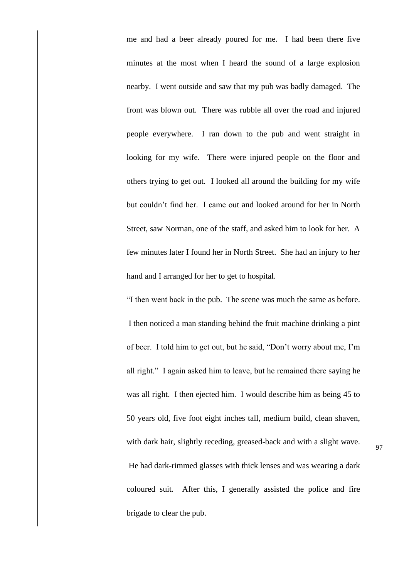me and had a beer already poured for me. I had been there five minutes at the most when I heard the sound of a large explosion nearby. I went outside and saw that my pub was badly damaged. The front was blown out. There was rubble all over the road and injured people everywhere. I ran down to the pub and went straight in looking for my wife. There were injured people on the floor and others trying to get out. I looked all around the building for my wife but couldn't find her. I came out and looked around for her in North Street, saw Norman, one of the staff, and asked him to look for her. A few minutes later I found her in North Street. She had an injury to her hand and I arranged for her to get to hospital.

"I then went back in the pub. The scene was much the same as before. I then noticed a man standing behind the fruit machine drinking a pint of beer. I told him to get out, but he said, "Don't worry about me, I'm all right." I again asked him to leave, but he remained there saying he was all right. I then ejected him. I would describe him as being 45 to 50 years old, five foot eight inches tall, medium build, clean shaven, with dark hair, slightly receding, greased-back and with a slight wave. He had dark-rimmed glasses with thick lenses and was wearing a dark coloured suit. After this, I generally assisted the police and fire brigade to clear the pub.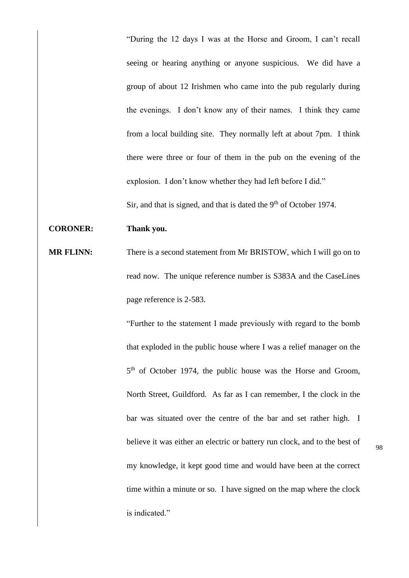"During the 12 days I was at the Horse and Groom, I can't recall seeing or hearing anything or anyone suspicious. We did have a group of about 12 Irishmen who came into the pub regularly during the evenings. I don't know any of their names. I think they came from a local building site. They normally left at about 7pm. I think there were three or four of them in the pub on the evening of the explosion. I don't know whether they had left before I did."

Sir, and that is signed, and that is dated the  $9<sup>th</sup>$  of October 1974.

### **CORONER: Thank you.**

**MR FLINN:** There is a second statement from Mr BRISTOW, which I will go on to read now. The unique reference number is S383A and the CaseLines page reference is 2-583.

> "Further to the statement I made previously with regard to the bomb that exploded in the public house where I was a relief manager on the 5<sup>th</sup> of October 1974, the public house was the Horse and Groom, North Street, Guildford. As far as I can remember, I the clock in the bar was situated over the centre of the bar and set rather high. I believe it was either an electric or battery run clock, and to the best of my knowledge, it kept good time and would have been at the correct time within a minute or so. I have signed on the map where the clock is indicated."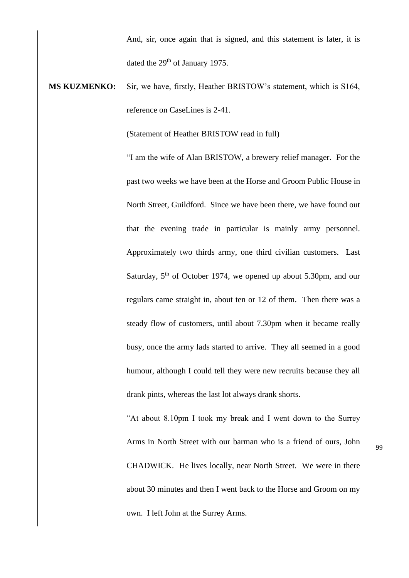And, sir, once again that is signed, and this statement is later, it is dated the 29<sup>th</sup> of January 1975.

# **MS KUZMENKO:** Sir, we have, firstly, Heather BRISTOW's statement, which is S164, reference on CaseLines is 2-41.

(Statement of Heather BRISTOW read in full)

"I am the wife of Alan BRISTOW, a brewery relief manager. For the past two weeks we have been at the Horse and Groom Public House in North Street, Guildford. Since we have been there, we have found out that the evening trade in particular is mainly army personnel. Approximately two thirds army, one third civilian customers. Last Saturday, 5<sup>th</sup> of October 1974, we opened up about 5.30pm, and our regulars came straight in, about ten or 12 of them. Then there was a steady flow of customers, until about 7.30pm when it became really busy, once the army lads started to arrive. They all seemed in a good humour, although I could tell they were new recruits because they all drank pints, whereas the last lot always drank shorts.

"At about 8.10pm I took my break and I went down to the Surrey Arms in North Street with our barman who is a friend of ours, John CHADWICK. He lives locally, near North Street. We were in there about 30 minutes and then I went back to the Horse and Groom on my own. I left John at the Surrey Arms.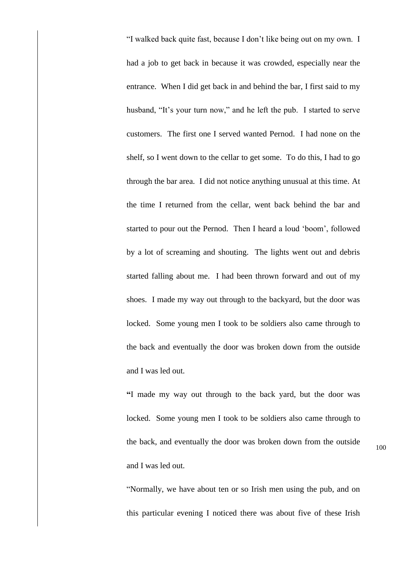"I walked back quite fast, because I don't like being out on my own. I had a job to get back in because it was crowded, especially near the entrance. When I did get back in and behind the bar, I first said to my husband, "It's your turn now," and he left the pub. I started to serve customers. The first one I served wanted Pernod. I had none on the shelf, so I went down to the cellar to get some. To do this, I had to go through the bar area. I did not notice anything unusual at this time. At the time I returned from the cellar, went back behind the bar and started to pour out the Pernod. Then I heard a loud 'boom', followed by a lot of screaming and shouting. The lights went out and debris started falling about me. I had been thrown forward and out of my shoes. I made my way out through to the backyard, but the door was locked. Some young men I took to be soldiers also came through to the back and eventually the door was broken down from the outside and I was led out.

**"**I made my way out through to the back yard, but the door was locked. Some young men I took to be soldiers also came through to the back, and eventually the door was broken down from the outside and I was led out.

"Normally, we have about ten or so Irish men using the pub, and on this particular evening I noticed there was about five of these Irish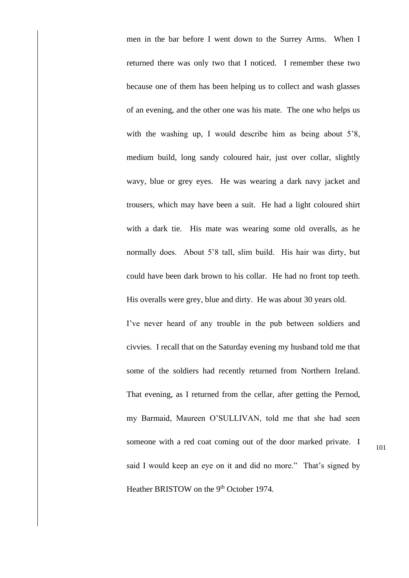men in the bar before I went down to the Surrey Arms. When I returned there was only two that I noticed. I remember these two because one of them has been helping us to collect and wash glasses of an evening, and the other one was his mate. The one who helps us with the washing up, I would describe him as being about 5'8, medium build, long sandy coloured hair, just over collar, slightly wavy, blue or grey eyes. He was wearing a dark navy jacket and trousers, which may have been a suit. He had a light coloured shirt with a dark tie. His mate was wearing some old overalls, as he normally does. About 5'8 tall, slim build. His hair was dirty, but could have been dark brown to his collar. He had no front top teeth. His overalls were grey, blue and dirty. He was about 30 years old. I've never heard of any trouble in the pub between soldiers and

civvies. I recall that on the Saturday evening my husband told me that some of the soldiers had recently returned from Northern Ireland. That evening, as I returned from the cellar, after getting the Pernod, my Barmaid, Maureen O'SULLIVAN, told me that she had seen someone with a red coat coming out of the door marked private. I said I would keep an eye on it and did no more." That's signed by Heather BRISTOW on the 9<sup>th</sup> October 1974.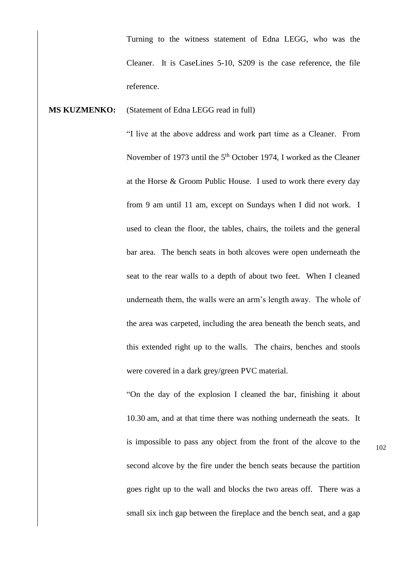Turning to the witness statement of Edna LEGG, who was the Cleaner. It is CaseLines 5-10, S209 is the case reference, the file reference.

#### **MS KUZMENKO:** (Statement of Edna LEGG read in full)

"I live at the above address and work part time as a Cleaner. From November of 1973 until the 5<sup>th</sup> October 1974, I worked as the Cleaner at the Horse & Groom Public House. I used to work there every day from 9 am until 11 am, except on Sundays when I did not work. I used to clean the floor, the tables, chairs, the toilets and the general bar area. The bench seats in both alcoves were open underneath the seat to the rear walls to a depth of about two feet. When I cleaned underneath them, the walls were an arm's length away. The whole of the area was carpeted, including the area beneath the bench seats, and this extended right up to the walls. The chairs, benches and stools were covered in a dark grey/green PVC material.

"On the day of the explosion I cleaned the bar, finishing it about 10.30 am, and at that time there was nothing underneath the seats. It is impossible to pass any object from the front of the alcove to the second alcove by the fire under the bench seats because the partition goes right up to the wall and blocks the two areas off. There was a small six inch gap between the fireplace and the bench seat, and a gap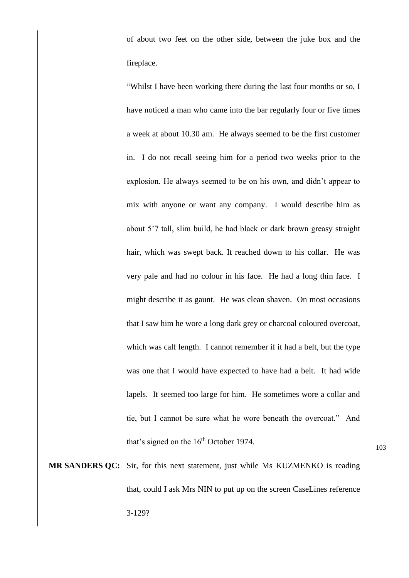of about two feet on the other side, between the juke box and the fireplace.

"Whilst I have been working there during the last four months or so, I have noticed a man who came into the bar regularly four or five times a week at about 10.30 am. He always seemed to be the first customer in. I do not recall seeing him for a period two weeks prior to the explosion. He always seemed to be on his own, and didn't appear to mix with anyone or want any company. I would describe him as about 5'7 tall, slim build, he had black or dark brown greasy straight hair, which was swept back. It reached down to his collar. He was very pale and had no colour in his face. He had a long thin face. I might describe it as gaunt. He was clean shaven. On most occasions that I saw him he wore a long dark grey or charcoal coloured overcoat, which was calf length. I cannot remember if it had a belt, but the type was one that I would have expected to have had a belt. It had wide lapels. It seemed too large for him. He sometimes wore a collar and tie, but I cannot be sure what he wore beneath the overcoat." And that's signed on the  $16<sup>th</sup>$  October 1974.

103

**MR SANDERS QC:** Sir, for this next statement, just while Ms KUZMENKO is reading that, could I ask Mrs NIN to put up on the screen CaseLines reference 3-129?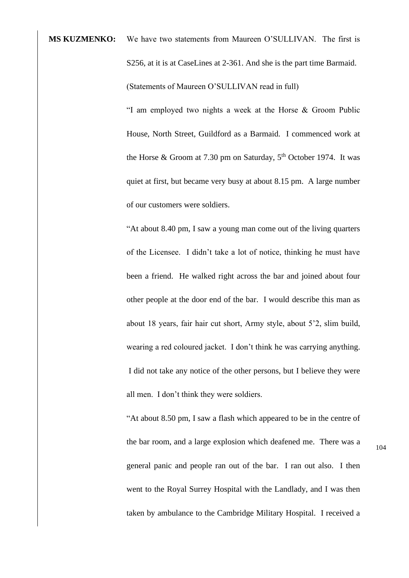**MS KUZMENKO:** We have two statements from Maureen O'SULLIVAN. The first is S256, at it is at CaseLines at 2-361. And she is the part time Barmaid. (Statements of Maureen O'SULLIVAN read in full)

> "I am employed two nights a week at the Horse & Groom Public House, North Street, Guildford as a Barmaid. I commenced work at the Horse & Groom at 7.30 pm on Saturday,  $5<sup>th</sup>$  October 1974. It was quiet at first, but became very busy at about 8.15 pm. A large number of our customers were soldiers.

> "At about 8.40 pm, I saw a young man come out of the living quarters of the Licensee. I didn't take a lot of notice, thinking he must have been a friend. He walked right across the bar and joined about four other people at the door end of the bar. I would describe this man as about 18 years, fair hair cut short, Army style, about 5'2, slim build, wearing a red coloured jacket. I don't think he was carrying anything. I did not take any notice of the other persons, but I believe they were all men. I don't think they were soldiers.

"At about 8.50 pm, I saw a flash which appeared to be in the centre of the bar room, and a large explosion which deafened me. There was a general panic and people ran out of the bar. I ran out also. I then went to the Royal Surrey Hospital with the Landlady, and I was then taken by ambulance to the Cambridge Military Hospital. I received a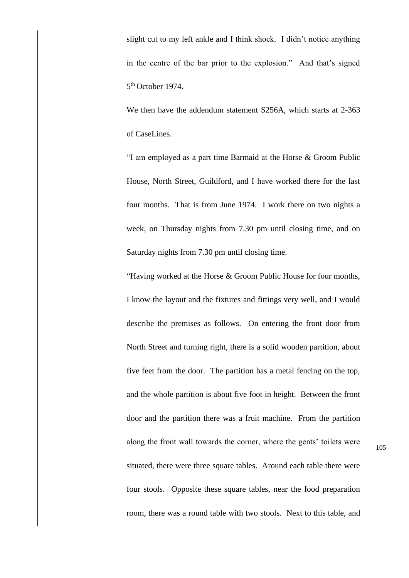slight cut to my left ankle and I think shock. I didn't notice anything in the centre of the bar prior to the explosion." And that's signed 5<sup>th</sup> October 1974.

We then have the addendum statement S256A, which starts at 2-363 of CaseLines.

"I am employed as a part time Barmaid at the Horse & Groom Public House, North Street, Guildford, and I have worked there for the last four months. That is from June 1974. I work there on two nights a week, on Thursday nights from 7.30 pm until closing time, and on Saturday nights from 7.30 pm until closing time.

"Having worked at the Horse & Groom Public House for four months, I know the layout and the fixtures and fittings very well, and I would describe the premises as follows. On entering the front door from North Street and turning right, there is a solid wooden partition, about five feet from the door. The partition has a metal fencing on the top, and the whole partition is about five foot in height. Between the front door and the partition there was a fruit machine. From the partition along the front wall towards the corner, where the gents' toilets were situated, there were three square tables. Around each table there were four stools. Opposite these square tables, near the food preparation room, there was a round table with two stools. Next to this table, and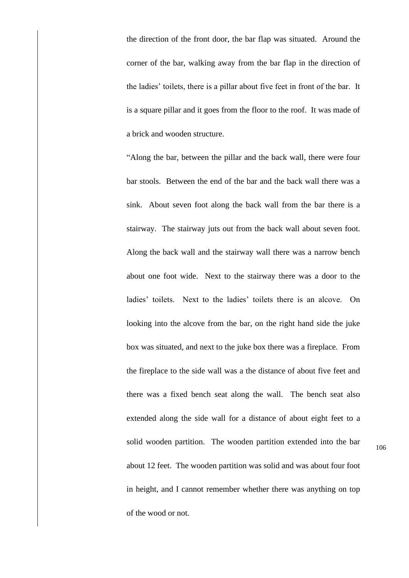the direction of the front door, the bar flap was situated. Around the corner of the bar, walking away from the bar flap in the direction of the ladies' toilets, there is a pillar about five feet in front of the bar. It is a square pillar and it goes from the floor to the roof. It was made of a brick and wooden structure.

"Along the bar, between the pillar and the back wall, there were four bar stools. Between the end of the bar and the back wall there was a sink. About seven foot along the back wall from the bar there is a stairway. The stairway juts out from the back wall about seven foot. Along the back wall and the stairway wall there was a narrow bench about one foot wide. Next to the stairway there was a door to the ladies' toilets. Next to the ladies' toilets there is an alcove. On looking into the alcove from the bar, on the right hand side the juke box was situated, and next to the juke box there was a fireplace. From the fireplace to the side wall was a the distance of about five feet and there was a fixed bench seat along the wall. The bench seat also extended along the side wall for a distance of about eight feet to a solid wooden partition. The wooden partition extended into the bar about 12 feet. The wooden partition was solid and was about four foot in height, and I cannot remember whether there was anything on top of the wood or not.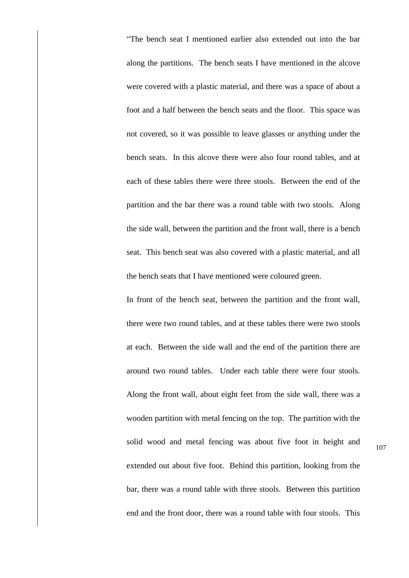"The bench seat I mentioned earlier also extended out into the bar along the partitions. The bench seats I have mentioned in the alcove were covered with a plastic material, and there was a space of about a foot and a half between the bench seats and the floor. This space was not covered, so it was possible to leave glasses or anything under the bench seats. In this alcove there were also four round tables, and at each of these tables there were three stools. Between the end of the partition and the bar there was a round table with two stools. Along the side wall, between the partition and the front wall, there is a bench seat. This bench seat was also covered with a plastic material, and all the bench seats that I have mentioned were coloured green.

In front of the bench seat, between the partition and the front wall, there were two round tables, and at these tables there were two stools at each. Between the side wall and the end of the partition there are around two round tables. Under each table there were four stools. Along the front wall, about eight feet from the side wall, there was a wooden partition with metal fencing on the top. The partition with the solid wood and metal fencing was about five foot in height and extended out about five foot. Behind this partition, looking from the bar, there was a round table with three stools. Between this partition end and the front door, there was a round table with four stools. This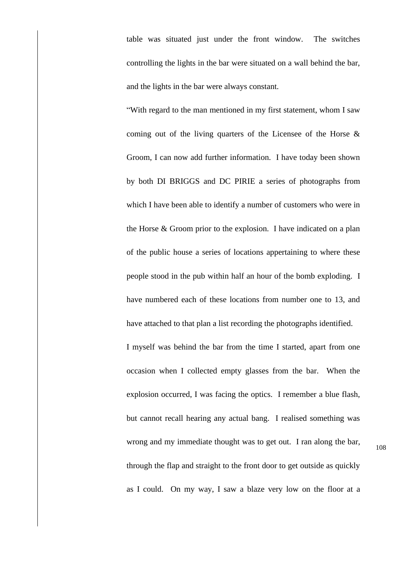table was situated just under the front window. The switches controlling the lights in the bar were situated on a wall behind the bar, and the lights in the bar were always constant.

"With regard to the man mentioned in my first statement, whom I saw coming out of the living quarters of the Licensee of the Horse & Groom, I can now add further information. I have today been shown by both DI BRIGGS and DC PIRIE a series of photographs from which I have been able to identify a number of customers who were in the Horse & Groom prior to the explosion. I have indicated on a plan of the public house a series of locations appertaining to where these people stood in the pub within half an hour of the bomb exploding. I have numbered each of these locations from number one to 13, and have attached to that plan a list recording the photographs identified. I myself was behind the bar from the time I started, apart from one occasion when I collected empty glasses from the bar. When the explosion occurred, I was facing the optics. I remember a blue flash, but cannot recall hearing any actual bang. I realised something was wrong and my immediate thought was to get out. I ran along the bar,

108

as I could. On my way, I saw a blaze very low on the floor at a

through the flap and straight to the front door to get outside as quickly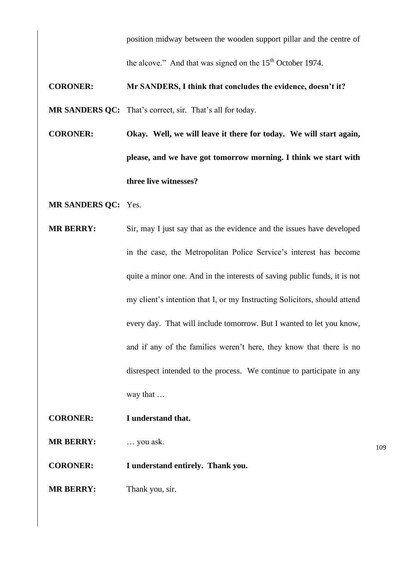position midway between the wooden support pillar and the centre of

the alcove." And that was signed on the  $15<sup>th</sup>$  October 1974.

### **CORONER: Mr SANDERS, I think that concludes the evidence, doesn't it?**

**MR SANDERS QC:** That's correct, sir. That's all for today.

- **CORONER: Okay. Well, we will leave it there for today. We will start again, please, and we have got tomorrow morning. I think we start with three live witnesses?**
- **MR SANDERS QC:** Yes.
- **MR BERRY:** Sir, may I just say that as the evidence and the issues have developed in the case, the Metropolitan Police Service's interest has become quite a minor one. And in the interests of saving public funds, it is not my client's intention that I, or my Instructing Solicitors, should attend every day. That will include tomorrow. But I wanted to let you know, and if any of the families weren't here, they know that there is no disrespect intended to the process. We continue to participate in any way that …
- **CORONER: I understand that.**

**MR BERRY:** … you ask.

**CORONER: I understand entirely. Thank you.**

**MR BERRY:** Thank you, sir.